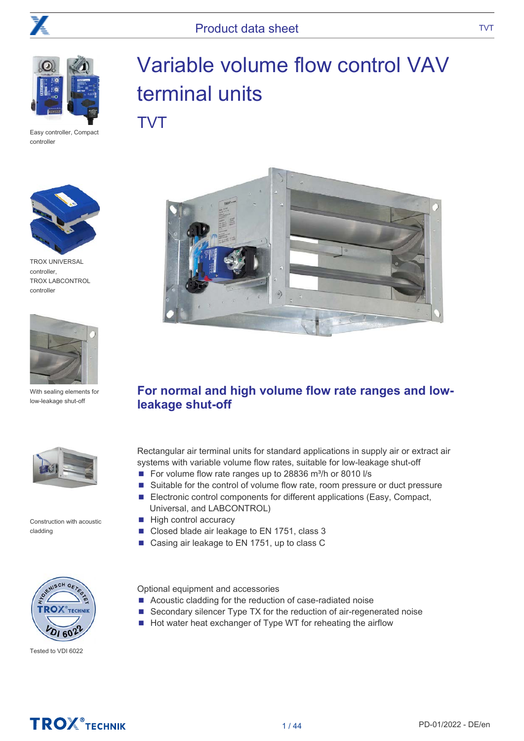

Easy controller, Compact controller



TROX UNIVERSAL controller, TROX LABCONTROL controller



With sealing elements for low-leakage shut-off



Construction with acoustic cladding



Tested to VDI 6022

# Variable volume flow control VAV terminal units TVT



### For normal and high volume flow rate ranges and lowleakage shut-off

Rectangular air terminal units for standard applications in supply air or extract air systems with variable volume flow rates, suitable for low-leakage shut-off

- For volume flow rate ranges up to 28836 m<sup>3</sup>/h or 8010 l/s
- Suitable for the control of volume flow rate, room pressure or duct pressure
- Electronic control components for different applications (Easy, Compact, Universal, and LABCONTROL)
- High control accuracy
- Closed blade air leakage to EN 1751, class 3
- Casing air leakage to EN 1751, up to class C

Optional equipment and accessories

- Acoustic cladding for the reduction of case-radiated noise
- Secondary silencer Type TX for the reduction of air-regenerated noise
- Hot water heat exchanger of Type WT for reheating the airflow

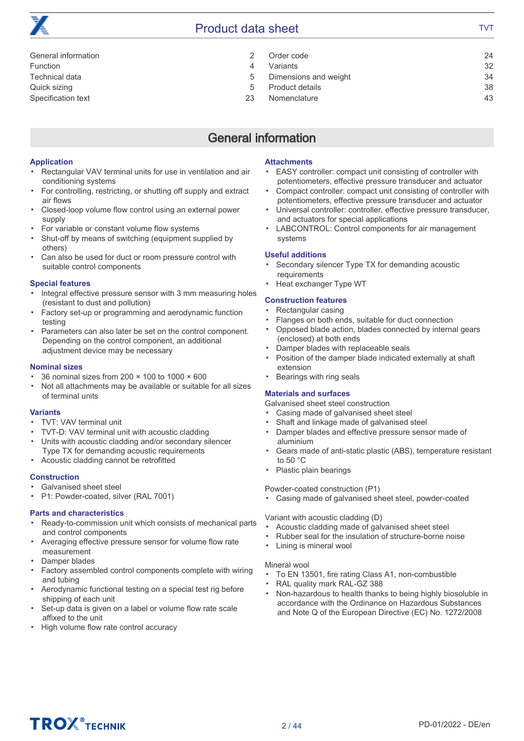

| General information |               | Order code            | 24 |
|---------------------|---------------|-----------------------|----|
| Function            | 4             | Variants              | 32 |
| Technical data      | $5^{\circ}$   | Dimensions and weight | 34 |
| Quick sizing        | $\mathcal{L}$ | Product details       | 38 |
| Specification text  | 23            | Nomenclature          | 43 |
|                     |               |                       |    |

### General information

#### Application

- Rectangular VAV terminal units for use in ventilation and air conditioning systems
- For controlling, restricting, or shutting off supply and extract air flows
- Closed-loop volume flow control using an external power supply
- For variable or constant volume flow systems
- Shut-off by means of switching (equipment supplied by others)
- Can also be used for duct or room pressure control with suitable control components

#### Special features

- Integral effective pressure sensor with 3 mm measuring holes (resistant to dust and pollution)
- Factory set-up or programming and aerodynamic function testing
- Parameters can also later be set on the control component. Depending on the control component, an additional adjustment device may be necessary

#### Nominal sizes

- 36 nominal sizes from 200 × 100 to 1000 × 600
- Not all attachments may be available or suitable for all sizes of terminal units

#### Variants

- TVT: VAV terminal unit
- TVT-D: VAV terminal unit with acoustic cladding
- Units with acoustic cladding and/or secondary silencer Type TX for demanding acoustic requirements
- Acoustic cladding cannot be retrofitted

#### **Construction**

- Galvanised sheet steel
- P1: Powder-coated, silver (RAL 7001)

#### Parts and characteristics

- Ready-to-commission unit which consists of mechanical parts and control components
- Averaging effective pressure sensor for volume flow rate measurement
- Damper blades
- Factory assembled control components complete with wiring and tubing
- Aerodynamic functional testing on a special test rig before shipping of each unit
- Set-up data is given on a label or volume flow rate scale affixed to the unit
- High volume flow rate control accuracy

#### **Attachments**

- EASY controller: compact unit consisting of controller with potentiometers, effective pressure transducer and actuator
- Compact controller: compact unit consisting of controller with potentiometers, effective pressure transducer and actuator
- Universal controller: controller, effective pressure transducer, and actuators for special applications
- LABCONTROL: Control components for air management systems

#### Useful additions

- Secondary silencer Type TX for demanding acoustic requirements
- Heat exchanger Type WT

#### Construction features

- Rectangular casing
- Flanges on both ends, suitable for duct connection
- Opposed blade action, blades connected by internal gears (enclosed) at both ends
- Damper blades with replaceable seals
- Position of the damper blade indicated externally at shaft extension
- Bearings with ring seals

#### Materials and surfaces

Galvanised sheet steel construction

- Casing made of galvanised sheet steel
- Shaft and linkage made of galvanised steel
- Damper blades and effective pressure sensor made of aluminium
- Gears made of anti-static plastic (ABS), temperature resistant to 50 °C
- Plastic plain bearings

#### Powder-coated construction (P1)

▪ Casing made of galvanised sheet steel, powder-coated

#### Variant with acoustic cladding (D)

- Acoustic cladding made of galvanised sheet steel
- Rubber seal for the insulation of structure-borne noise
- Lining is mineral wool

#### Mineral wool

- To EN 13501, fire rating Class A1, non-combustible
- RAL quality mark RAL-GZ 388
- Non-hazardous to health thanks to being highly biosoluble in accordance with the Ordinance on Hazardous Substances and Note Q of the European Directive (EC) No. 1272/2008

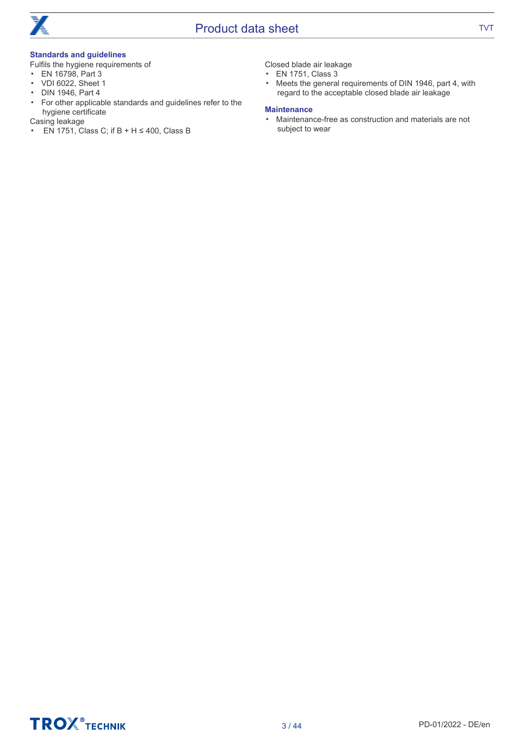

#### Standards and guidelines

Fulfils the hygiene requirements of

- EN 16798, Part 3
- VDI 6022, Sheet 1
- DIN 1946, Part 4
- For other applicable standards and guidelines refer to the hygiene certificate

Casing leakage

■ EN 1751, Class C; if B + H ≤ 400, Class B

Closed blade air leakage

- EN 1751, Class 3
- Meets the general requirements of DIN 1946, part 4, with regard to the acceptable closed blade air leakage

#### **Maintenance**

▪ Maintenance-free as construction and materials are not subject to wear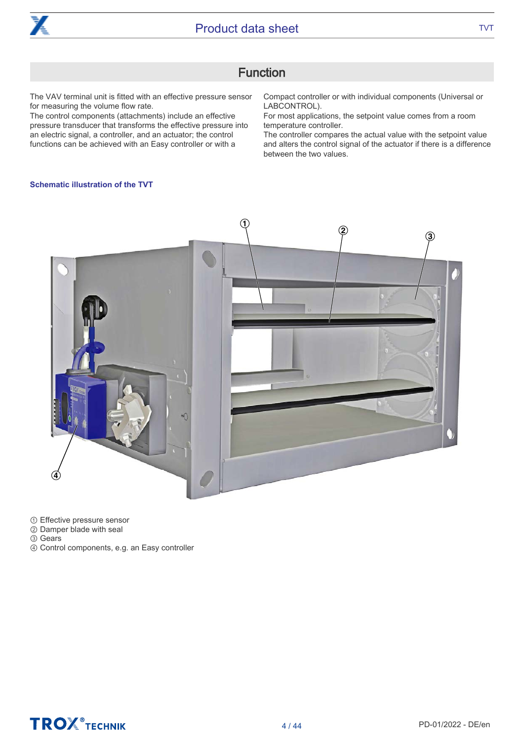

### Function

The VAV terminal unit is fitted with an effective pressure sensor for measuring the volume flow rate.

The control components (attachments) include an effective pressure transducer that transforms the effective pressure into an electric signal, a controller, and an actuator; the control functions can be achieved with an Easy controller or with a

Compact controller or with individual components (Universal or LABCONTROL).

For most applications, the setpoint value comes from a room temperature controller.

The controller compares the actual value with the setpoint value and alters the control signal of the actuator if there is a difference between the two values.

#### Schematic illustration of the TVT



① Effective pressure sensor

- ② Damper blade with seal
- ③ Gears
- ④ Control components, e.g. an Easy controller

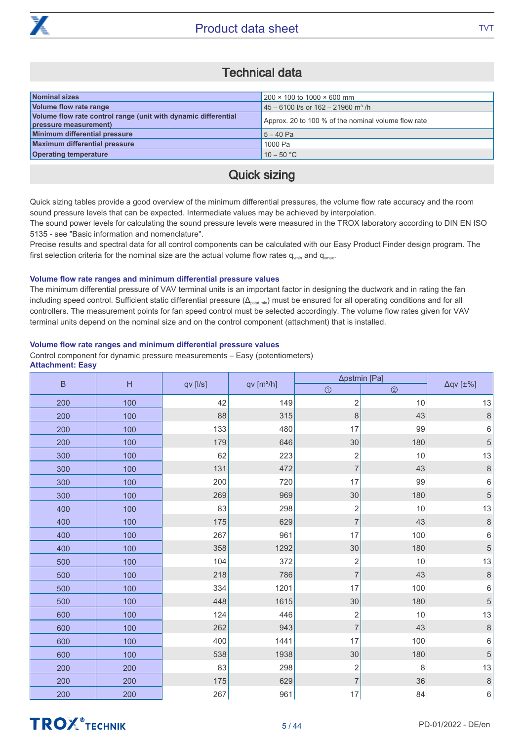

### Technical data

| Nominal sizes                                                                           | $200 \times 100$ to 1000 $\times$ 600 mm            |
|-----------------------------------------------------------------------------------------|-----------------------------------------------------|
| Volume flow rate range                                                                  | $145 - 6100$ I/s or 162 - 21960 m <sup>3</sup> /h   |
| Volume flow rate control range (unit with dynamic differential<br>pressure measurement) | Approx. 20 to 100 % of the nominal volume flow rate |
| Minimum differential pressure                                                           | $15 - 40$ Pa                                        |
| Maximum differential pressure                                                           | 1000 Pa                                             |
| <b>Operating temperature</b>                                                            | $10 - 50 °C$                                        |

### Quick sizing

Quick sizing tables provide a good overview of the minimum differential pressures, the volume flow rate accuracy and the room sound pressure levels that can be expected. Intermediate values may be achieved by interpolation.

The sound power levels for calculating the sound pressure levels were measured in the TROX laboratory according to DIN EN ISO 5135 - see "Basic information and nomenclature".

Precise results and spectral data for all control components can be calculated with our Easy Product Finder design program. The first selection criteria for the nominal size are the actual volume flow rates  $q_{\text{win}}$  and  $q_{\text{win}}$ .

#### Volume flow rate ranges and minimum differential pressure values

The minimum differential pressure of VAV terminal units is an important factor in designing the ductwork and in rating the fan including speed control. Sufficient static differential pressure (Δ<sub>ostatmin</sub>) must be ensured for all operating conditions and for all controllers. The measurement points for fan speed control must be selected accordingly. The volume flow rates given for VAV terminal units depend on the nominal size and on the control component (attachment) that is installed.

#### Volume flow rate ranges and minimum differential pressure values

Control component for dynamic pressure measurements – Easy (potentiometers) Attachment: Easy

| $\sf B$<br>H |     |          |                       | ∆pstmin [Pa]            |                |                         |
|--------------|-----|----------|-----------------------|-------------------------|----------------|-------------------------|
|              |     | qv [l/s] | qv[m <sup>3</sup> /h] | $\odot$                 | $\circledcirc$ | $\Delta qV$ [ $\pm\%$ ] |
| 200          | 100 | 42       | 149                   | $\overline{c}$          | 10             | 13                      |
| 200          | 100 | 88       | 315                   | 8                       | 43             | $\,8\,$                 |
| 200          | 100 | 133      | 480                   | 17                      | 99             | 6                       |
| 200          | 100 | 179      | 646                   | $30\,$                  | 180            | 5                       |
| 300          | 100 | 62       | 223                   | $\overline{\mathbf{c}}$ | 10             | 13                      |
| 300          | 100 | 131      | 472                   | $\overline{7}$          | 43             | $\delta$                |
| 300          | 100 | 200      | 720                   | 17                      | 99             | $\,$ 6 $\,$             |
| 300          | 100 | 269      | 969                   | $30\,$                  | 180            | 5                       |
| 400          | 100 | 83       | 298                   | $\overline{\mathbf{c}}$ | 10             | 13                      |
| 400          | 100 | 175      | 629                   | $\overline{7}$          | 43             | 8                       |
| 400          | 100 | 267      | 961                   | 17                      | 100            | 6                       |
| 400          | 100 | 358      | 1292                  | 30                      | 180            | 5                       |
| 500          | 100 | 104      | 372                   | $\overline{c}$          | 10             | 13                      |
| 500          | 100 | 218      | 786                   | $\overline{7}$          | 43             | $\delta$                |
| 500          | 100 | 334      | 1201                  | 17                      | 100            | 6                       |
| 500          | 100 | 448      | 1615                  | $30\,$                  | 180            | 5                       |
| 600          | 100 | 124      | 446                   | $\overline{c}$          | 10             | 13                      |
| 600          | 100 | 262      | 943                   | $\overline{7}$          | 43             | $\,8\,$                 |
| 600          | 100 | 400      | 1441                  | 17                      | 100            | 6                       |
| 600          | 100 | 538      | 1938                  | $30\,$                  | 180            | 5                       |
| 200          | 200 | 83       | 298                   | $\overline{c}$          | 8              | 13                      |
| 200          | 200 | 175      | 629                   | $\overline{7}$          | 36             | $\,8\,$                 |
| 200          | 200 | 267      | 961                   | $17$                    | 84             | $\,6\,$                 |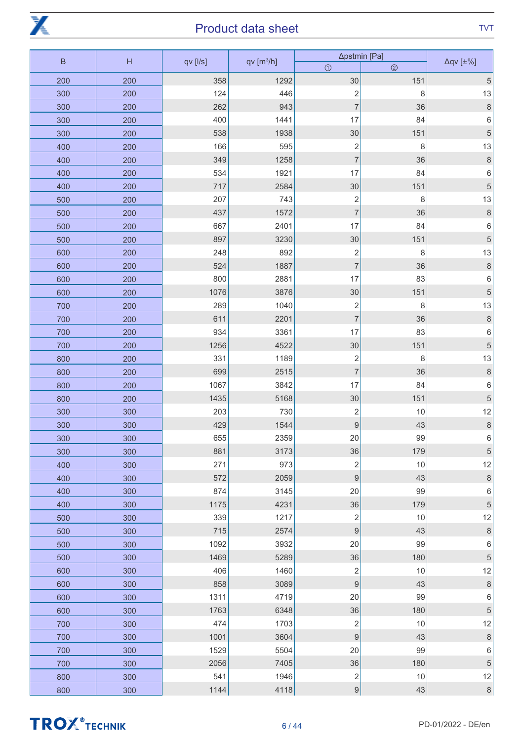

| $\sf B$ | H   | qv [l/s] | qv[m <sup>3</sup> /h] | ∆pstmin [Pa]             |                | $\Delta qV$ [ $\pm\%$ ]          |
|---------|-----|----------|-----------------------|--------------------------|----------------|----------------------------------|
|         |     |          |                       | $\odot$                  | $\circledcirc$ |                                  |
| 200     | 200 | 358      | 1292                  | 30                       | 151            | $\mathbf 5$                      |
| 300     | 200 | 124      | 446                   | $\sqrt{2}$               | 8              | 13                               |
| 300     | 200 | 262      | 943                   | $\overline{\mathcal{I}}$ | 36             | 8                                |
| 300     | 200 | 400      | 1441                  | 17                       | 84             | $\,6$                            |
| 300     | 200 | 538      | 1938                  | 30                       | 151            | 5                                |
| 400     | 200 | 166      | 595                   | $\overline{\mathbf{c}}$  | 8              | 13                               |
| 400     | 200 | 349      | 1258                  | $\overline{\mathcal{I}}$ | 36             | 8                                |
| 400     | 200 | 534      | 1921                  | 17                       | 84             | $\,6$                            |
| 400     | 200 | 717      | 2584                  | 30                       | 151            | 5                                |
| 500     | 200 | 207      | 743                   | $\overline{\mathbf{c}}$  | 8              | 13                               |
| 500     | 200 | 437      | 1572                  | $\overline{\mathcal{I}}$ | 36             | $\delta$                         |
| 500     | 200 | 667      | 2401                  | 17                       | 84             | 6                                |
| 500     | 200 | 897      | 3230                  | 30                       | 151            | 5                                |
| 600     | 200 | 248      | 892                   | $\overline{\mathbf{c}}$  | 8              | 13                               |
| 600     | 200 | 524      | 1887                  | $\overline{7}$           | 36             | $\,$ 8 $\,$                      |
| 600     | 200 | 800      | 2881                  | 17                       | 83             | 6                                |
| 600     | 200 | 1076     | 3876                  | 30                       | 151            | $\sqrt{5}$                       |
| 700     | 200 | 289      | 1040                  | $\overline{\mathbf{c}}$  | 8              | 13                               |
| 700     | 200 | 611      | 2201                  | $\overline{7}$           | 36             | $\,8\,$                          |
| 700     | 200 | 934      | 3361                  | 17                       | 83             | 6                                |
| 700     | 200 | 1256     | 4522                  | 30                       | 151            | $\sqrt{5}$                       |
| 800     | 200 | 331      | 1189                  | $\overline{\mathbf{c}}$  | 8              | 13                               |
| 800     | 200 | 699      | 2515                  | $\overline{\mathcal{I}}$ | 36             | $\,8\,$                          |
| 800     | 200 | 1067     | 3842                  | 17                       | 84             | 6                                |
| 800     | 200 | 1435     | 5168                  | $30\,$                   | 151            | $\mathbf 5$                      |
| 300     | 300 | 203      | 730                   | $\mathbf 2$              | 10             | 12                               |
| 300     | 300 | 429      | 1544                  | $\overline{9}$           | 43             | $\,8\,$                          |
| 300     | 300 | 655      | 2359                  | 20                       | 99             | 6                                |
| 300     | 300 | 881      | 3173                  | 36                       | 179            | $\mathbf 5$                      |
| 400     | 300 | 271      | 973                   | $\sqrt{2}$               | 10             | 12                               |
| 400     | 300 | 572      | 2059                  | $\boldsymbol{9}$         | 43             | $\,8\,$                          |
| 400     | 300 | 874      | 3145                  | 20                       | 99             | $\,6$                            |
| 400     | 300 | 1175     | 4231                  | 36                       | 179            | $\sqrt{5}$                       |
| 500     | 300 | 339      | 1217                  | $\sqrt{2}$               | 10             | 12                               |
| 500     | 300 | 715      | 2574                  | $\boldsymbol{9}$         | 43             | $\,$ 8 $\,$                      |
| 500     | 300 | 1092     | 3932                  | 20                       | 99             | $\,$ 6 $\,$                      |
| 500     | 300 | 1469     | 5289                  | 36                       | 180            | $\sqrt{5}$                       |
| 600     | 300 | 406      | 1460                  | $\sqrt{2}$               | 10             | 12                               |
| 600     | 300 | 858      | 3089                  | $\boldsymbol{9}$         | 43             | $\,$ 8 $\,$                      |
| 600     | 300 | 1311     | 4719                  | 20                       | 99             | $\,$ 6 $\,$                      |
| 600     | 300 | 1763     | 6348                  | 36                       | 180            | $\sqrt{5}$                       |
| 700     | 300 | 474      | 1703                  | $\sqrt{2}$               | 10             | 12                               |
| 700     | 300 | 1001     | 3604                  | $\boldsymbol{9}$         | 43             | $\begin{array}{c} 8 \end{array}$ |
| 700     | 300 | 1529     | 5504                  | 20                       | 99             | $\,6\,$                          |
| 700     | 300 | 2056     | 7405                  | 36                       | 180            | $\sqrt{5}$                       |
| 800     | 300 | 541      | 1946                  | $\sqrt{2}$               | $10$           | 12                               |
| 800     | 300 | 1144     | 4118                  | $\boldsymbol{9}$         | 43             | $\,$ 8 $\,$                      |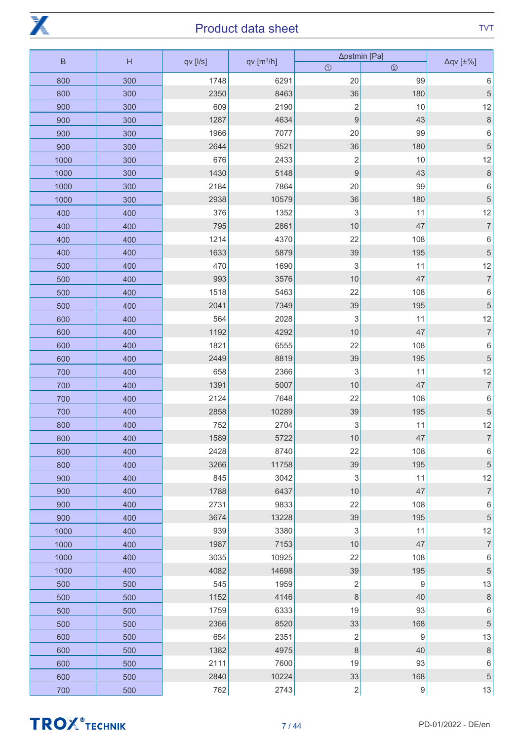

| $\sf B$ | H   | qv [l/s] | qv [m <sup>3</sup> /h] | ∆pstmin [Pa]              |                  | $\Delta qV$ [ $\pm\%$ ] |
|---------|-----|----------|------------------------|---------------------------|------------------|-------------------------|
|         |     |          |                        | $\odot$                   | $\circledcirc$   |                         |
| 800     | 300 | 1748     | 6291                   | 20                        | 99               | $\,6$                   |
| 800     | 300 | 2350     | 8463                   | 36                        | 180              | $\mathbf 5$             |
| 900     | 300 | 609      | 2190                   | $\overline{c}$            | 10               | 12                      |
| 900     | 300 | 1287     | 4634                   | $\overline{9}$            | 43               | $\,8\,$                 |
| 900     | 300 | 1966     | 7077                   | 20                        | 99               | $\,6$                   |
| 900     | 300 | 2644     | 9521                   | 36                        | 180              | $\sqrt{5}$              |
| 1000    | 300 | 676      | 2433                   | $\overline{c}$            | 10               | 12                      |
| 1000    | 300 | 1430     | 5148                   | $\overline{9}$            | 43               | $\,8\,$                 |
| 1000    | 300 | 2184     | 7864                   | 20                        | 99               | $\,6\,$                 |
| 1000    | 300 | 2938     | 10579                  | 36                        | 180              | $\mathbf 5$             |
| 400     | 400 | 376      | 1352                   | 3                         | 11               | 12                      |
| 400     | 400 | 795      | 2861                   | 10                        | 47               | $\overline{7}$          |
| 400     | 400 | 1214     | 4370                   | 22                        | 108              | $\,6$                   |
| 400     | 400 | 1633     | 5879                   | 39                        | 195              | $\sqrt{5}$              |
| 500     | 400 | 470      | 1690                   | $\sqrt{3}$                | 11               | 12                      |
| 500     | 400 | 993      | 3576                   | 10                        | 47               | $\overline{7}$          |
| 500     | 400 | 1518     | 5463                   | 22                        | 108              | $\,6$                   |
| 500     | 400 | 2041     | 7349                   | 39                        | 195              | $\sqrt{5}$              |
| 600     | 400 | 564      | 2028                   | $\sqrt{3}$                | 11               | 12                      |
| 600     | 400 | 1192     | 4292                   | 10                        | 47               | $\overline{7}$          |
| 600     | 400 | 1821     | 6555                   | 22                        | 108              | $\,$ 6 $\,$             |
| 600     | 400 | 2449     | 8819                   | 39                        | 195              | $\sqrt{5}$              |
| 700     | 400 | 658      | 2366                   | $\ensuremath{\mathsf{3}}$ | 11               | 12                      |
| 700     | 400 | 1391     | 5007                   | 10                        | 47               | $\overline{7}$          |
| 700     | 400 | 2124     | 7648                   | 22                        | 108              | $\,$ 6 $\,$             |
| 700     | 400 | 2858     | 10289                  | 39                        | 195              | 5                       |
| 800     | 400 | 752      | 2704                   | 3                         | 11               | 12                      |
| 800     | 400 | 1589     | 5722                   | 10                        | 47               | $\overline{7}$          |
| 800     | 400 | 2428     | 8740                   | 22                        | 108              | $\,6\,$                 |
| 800     | 400 | 3266     | 11758                  | 39                        | 195              | $\sqrt{5}$              |
| 900     | 400 | 845      | 3042                   | $\sqrt{3}$                | 11               | 12                      |
| 900     | 400 | 1788     | 6437                   | 10                        | 47               | $\boldsymbol{7}$        |
| 900     | 400 | 2731     | 9833                   | 22                        | 108              | $\,6\,$                 |
| 900     | 400 | 3674     | 13228                  | 39                        | 195              | $\sqrt{5}$              |
| 1000    | 400 | 939      | 3380                   | 3                         | 11               | 12                      |
| 1000    | 400 | 1987     | 7153                   | 10                        | 47               | $\boldsymbol{7}$        |
| 1000    | 400 | 3035     | 10925                  | 22                        | 108              | $\,6\,$                 |
| 1000    | 400 | 4082     | 14698                  | 39                        | 195              | $\sqrt{5}$              |
| 500     | 500 | 545      | 1959                   | $\overline{c}$            | $\boldsymbol{9}$ | 13                      |
| 500     | 500 | 1152     | 4146                   | $\,8\,$                   | 40               | $\,$ 8 $\,$             |
| 500     | 500 | 1759     | 6333                   | 19                        | 93               | $\,6\,$                 |
| 500     | 500 | 2366     | 8520                   | 33                        | 168              | $\sqrt{5}$              |
| 600     | 500 | 654      | 2351                   | $\overline{c}$            | $\boldsymbol{9}$ | 13                      |
| 600     | 500 | 1382     | 4975                   | $\,8\,$                   | 40               | $\,8\,$                 |
| 600     | 500 | 2111     | 7600                   | 19                        | 93               | $\,6\,$                 |
| 600     | 500 | 2840     | 10224                  | 33                        | 168              | $\mathbf 5$             |
| 700     | 500 | 762      | 2743                   | $\boldsymbol{2}$          | 9                | 13                      |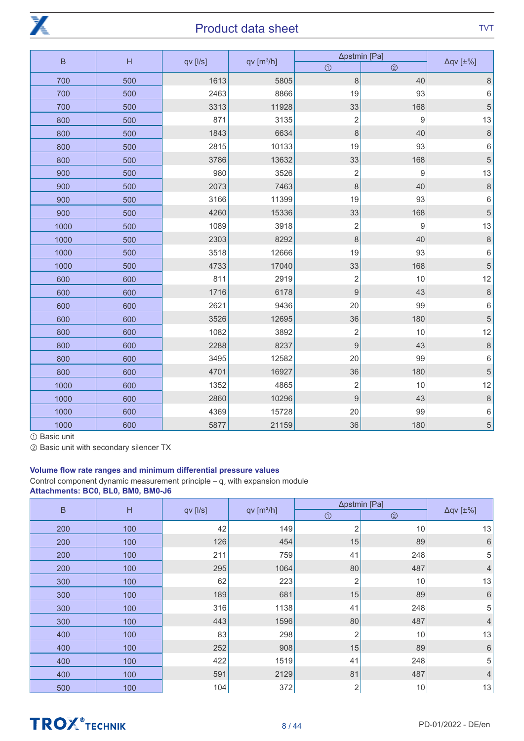

| $\overline{B}$ | H   |          |                        | ∆pstmin [Pa]     |                |                         |
|----------------|-----|----------|------------------------|------------------|----------------|-------------------------|
|                |     | qv [l/s] | qv[ m <sup>3</sup> /h] | $\odot$          | $\circledcirc$ | $\Delta qV$ [ $\pm\%$ ] |
| 700            | 500 | 1613     | 5805                   | 8                | 40             | $\,8\,$                 |
| 700            | 500 | 2463     | 8866                   | 19               | 93             | $\,$ 6 $\,$             |
| 700            | 500 | 3313     | 11928                  | 33               | 168            | $\overline{5}$          |
| 800            | 500 | 871      | 3135                   | $\overline{c}$   | 9              | 13                      |
| 800            | 500 | 1843     | 6634                   | $\,8\,$          | 40             | $\,$ 8 $\,$             |
| 800            | 500 | 2815     | 10133                  | 19               | 93             | $\,$ 6 $\,$             |
| 800            | 500 | 3786     | 13632                  | 33               | 168            | $\overline{5}$          |
| 900            | 500 | 980      | 3526                   | $\overline{c}$   | 9              | 13                      |
| 900            | 500 | 2073     | 7463                   | 8                | 40             | $\,8\,$                 |
| 900            | 500 | 3166     | 11399                  | 19               | 93             | $\,$ 6 $\,$             |
| 900            | 500 | 4260     | 15336                  | 33               | 168            | $\overline{5}$          |
| 1000           | 500 | 1089     | 3918                   | $\overline{c}$   | $\hbox{9}$     | 13                      |
| 1000           | 500 | 2303     | 8292                   | 8                | 40             | $\delta$                |
| 1000           | 500 | 3518     | 12666                  | 19               | 93             | $\,6\,$                 |
| 1000           | 500 | 4733     | 17040                  | 33               | 168            | $\overline{5}$          |
| 600            | 600 | 811      | 2919                   | $\sqrt{2}$       | 10             | 12                      |
| 600            | 600 | 1716     | 6178                   | 9                | 43             | $\delta$                |
| 600            | 600 | 2621     | 9436                   | 20               | 99             | $\,6\,$                 |
| 600            | 600 | 3526     | 12695                  | 36               | 180            | $\overline{5}$          |
| 800            | 600 | 1082     | 3892                   | $\overline{c}$   | 10             | 12                      |
| 800            | 600 | 2288     | 8237                   | $\boldsymbol{9}$ | 43             | $\delta$                |
| 800            | 600 | 3495     | 12582                  | 20               | 99             | $\,6$                   |
| 800            | 600 | 4701     | 16927                  | 36               | 180            | $\overline{5}$          |
| 1000           | 600 | 1352     | 4865                   | $\overline{c}$   | 10             | 12                      |
| 1000           | 600 | 2860     | 10296                  | $\boldsymbol{9}$ | 43             | $\,$ 8 $\,$             |
| 1000           | 600 | 4369     | 15728                  | 20               | 99             | $\,6\,$                 |
| 1000           | 600 | 5877     | 21159                  | 36               | 180            | $\overline{5}$          |

① Basic unit

② Basic unit with secondary silencer TX

#### Volume flow rate ranges and minimum differential pressure values

Control component dynamic measurement principle  $-q_v$  with expansion module Attachments: BC0, BL0, BM0, BM0-J6

| $\overline{B}$ |     |          |                        | ∆pstmin [Pa]   |                |                         |
|----------------|-----|----------|------------------------|----------------|----------------|-------------------------|
|                | H   | qv [l/s] | qv [m <sup>3</sup> /h] | $\odot$        | $\circledcirc$ | $\Delta qV$ [ $\pm\%$ ] |
| 200            | 100 | 42       | 149                    | 2              | 10             | 13                      |
| 200            | 100 | 126      | 454                    | 15             | 89             | $\,$ 6 $\,$             |
| 200            | 100 | 211      | 759                    | 41             | 248            | 5                       |
| 200            | 100 | 295      | 1064                   | 80             | 487            | $\overline{4}$          |
| 300            | 100 | 62       | 223                    | 2              | 10             | 13                      |
| 300            | 100 | 189      | 681                    | 15             | 89             | $\,6\,$                 |
| 300            | 100 | 316      | 1138                   | 41             | 248            | 5                       |
| 300            | 100 | 443      | 1596                   | 80             | 487            | $\overline{4}$          |
| 400            | 100 | 83       | 298                    | 2              | 10             | 13                      |
| 400            | 100 | 252      | 908                    | 15             | 89             | 6                       |
| 400            | 100 | 422      | 1519                   | 41             | 248            | 5                       |
| 400            | 100 | 591      | 2129                   | 81             | 487            | $\overline{4}$          |
| 500            | 100 | 104      | 372                    | $\overline{2}$ | $10$           | 13                      |



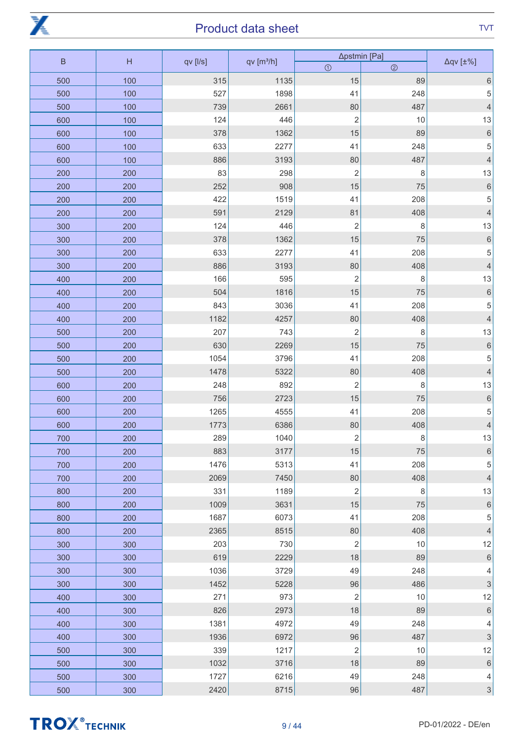

| $\sf B$ | H   | qv [l/s] | qv[m <sup>3</sup> /h] | ∆pstmin [Pa]   |                | $\Delta q$ v [ $\pm\%$ ]  |
|---------|-----|----------|-----------------------|----------------|----------------|---------------------------|
|         |     |          |                       | $\odot$        | $\circledcirc$ |                           |
| 500     | 100 | 315      | 1135                  | 15             | 89             | $\,6$                     |
| 500     | 100 | 527      | 1898                  | 41             | 248            | 5                         |
| 500     | 100 | 739      | 2661                  | 80             | 487            | $\overline{4}$            |
| 600     | 100 | 124      | 446                   | $\overline{c}$ | $10$           | 13                        |
| 600     | 100 | 378      | 1362                  | 15             | 89             | $\,$ 6 $\,$               |
| 600     | 100 | 633      | 2277                  | 41             | 248            | 5                         |
| 600     | 100 | 886      | 3193                  | 80             | 487            | $\overline{4}$            |
| 200     | 200 | 83       | 298                   | $\overline{c}$ | 8              | 13                        |
| 200     | 200 | 252      | 908                   | 15             | 75             | $\,$ 6 $\,$               |
| 200     | 200 | 422      | 1519                  | 41             | 208            | 5                         |
| 200     | 200 | 591      | 2129                  | 81             | 408            | $\overline{4}$            |
| 300     | 200 | 124      | 446                   | $\overline{2}$ | 8              | 13                        |
| 300     | 200 | 378      | 1362                  | 15             | 75             | $\,$ 6 $\,$               |
| 300     | 200 | 633      | 2277                  | 41             | 208            | $\mathbf 5$               |
| 300     | 200 | 886      | 3193                  | 80             | 408            | $\overline{4}$            |
| 400     | 200 | 166      | 595                   | $\overline{2}$ | 8              | 13                        |
| 400     | 200 | 504      | 1816                  | 15             | 75             | $\,$ 6 $\,$               |
| 400     | 200 | 843      | 3036                  | 41             | 208            | $\mathbf 5$               |
| 400     | 200 | 1182     | 4257                  | 80             | 408            | $\overline{4}$            |
| 500     | 200 | 207      | 743                   | $\overline{c}$ | 8              | 13                        |
| 500     | 200 | 630      | 2269                  | 15             | 75             | $\sqrt{6}$                |
| 500     | 200 | 1054     | 3796                  | 41             | 208            | 5                         |
| 500     | 200 | 1478     | 5322                  | 80             | 408            | $\overline{4}$            |
| 600     | 200 | 248      | 892                   | $\overline{2}$ | 8              | 13                        |
| 600     | 200 | 756      | 2723                  | 15             | 75             | $\sqrt{6}$                |
| 600     | 200 | 1265     | 4555                  | 41             | 208            | 5                         |
| 600     | 200 | 1773     | 6386                  | 80             | 408            | $\overline{4}$            |
| 700     | 200 | 289      | 1040                  | $\mathbf 2$    | 8              | 13                        |
| 700     | 200 | 883      | 3177                  | 15             | 75             | $\,6\,$                   |
| 700     | 200 | 1476     | 5313                  | 41             | 208            | $\mathbf 5$               |
| 700     | 200 | 2069     | 7450                  | 80             | 408            | $\overline{4}$            |
| 800     | 200 | 331      | 1189                  | $\overline{2}$ | 8              | 13                        |
| 800     | 200 | 1009     | 3631                  | 15             | 75             | $\,$ 6 $\,$               |
| 800     | 200 | 1687     | 6073                  | 41             | 208            | $\mathbf 5$               |
| 800     | 200 | 2365     | 8515                  | 80             | 408            | $\overline{4}$            |
| 300     | 300 | 203      | 730                   | $\overline{2}$ | 10             | 12                        |
| 300     | 300 | 619      | 2229                  | 18             | 89             | $\,$ 6 $\,$               |
| 300     | 300 | 1036     | 3729                  | 49             | 248            | 4                         |
| 300     | 300 | 1452     | 5228                  | 96             | 486            | $\ensuremath{\mathsf{3}}$ |
| 400     | 300 | 271      | 973                   | $\overline{2}$ | 10             | 12                        |
| 400     | 300 | 826      | 2973                  | 18             | 89             | $\,$ 6 $\,$               |
| 400     | 300 | 1381     | 4972                  | 49             | 248            | 4                         |
| 400     | 300 | 1936     | 6972                  | 96             | 487            | $\mathsf 3$               |
| 500     | 300 | 339      | 1217                  | $\overline{2}$ | 10             | 12                        |
| 500     | 300 | 1032     | $3716$                | 18             | 89             | $\,$ 6 $\,$               |
| 500     | 300 | 1727     | 6216                  | 49             | 248            | $\overline{4}$            |
| 500     | 300 | 2420     | 8715                  | 96             | 487            | $\mathsf 3$               |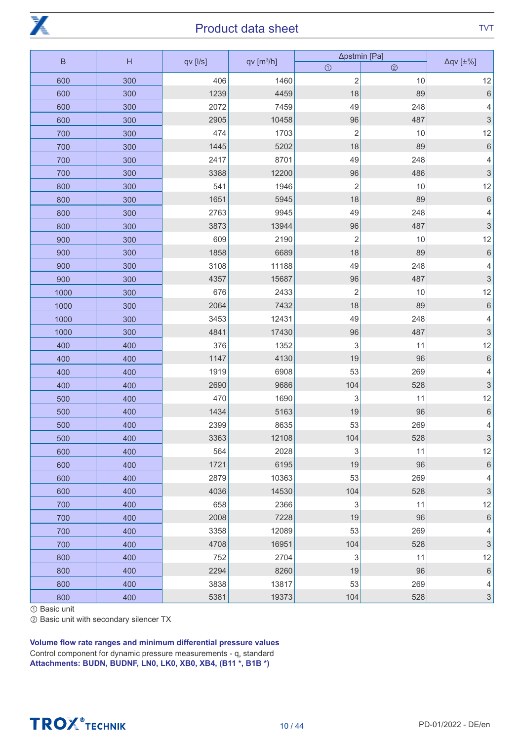

| $\mathsf B$ | H   |          | qv[ m <sup>3</sup> /h] | ∆pstmin [Pa]              | $\Delta qV$ [ $\pm\%$ ] |                           |
|-------------|-----|----------|------------------------|---------------------------|-------------------------|---------------------------|
|             |     | qv [l/s] |                        | $\odot$                   | $\circledcirc$          |                           |
| 600         | 300 | 406      | 1460                   | $\overline{c}$            | 10                      | 12                        |
| 600         | 300 | 1239     | 4459                   | 18                        | 89                      | $\sqrt{6}$                |
| 600         | 300 | 2072     | 7459                   | 49                        | 248                     | 4                         |
| 600         | 300 | 2905     | 10458                  | 96                        | 487                     | $\sqrt{3}$                |
| 700         | 300 | 474      | 1703                   | $\overline{\mathbf{c}}$   | 10                      | 12                        |
| 700         | 300 | 1445     | 5202                   | 18                        | 89                      | $\overline{6}$            |
| 700         | 300 | 2417     | 8701                   | 49                        | 248                     | 4                         |
| 700         | 300 | 3388     | 12200                  | 96                        | 486                     | 3                         |
| 800         | 300 | 541      | 1946                   | $\overline{\mathbf{c}}$   | 10                      | 12                        |
| 800         | 300 | 1651     | 5945                   | 18                        | 89                      | $\,$ 6 $\,$               |
| 800         | 300 | 2763     | 9945                   | 49                        | 248                     | 4                         |
| 800         | 300 | 3873     | 13944                  | 96                        | 487                     | 3                         |
| 900         | 300 | 609      | 2190                   | $\overline{\mathbf{c}}$   | 10                      | 12                        |
| 900         | 300 | 1858     | 6689                   | 18                        | 89                      | $\,$ 6 $\,$               |
| 900         | 300 | 3108     | 11188                  | 49                        | 248                     | 4                         |
| 900         | 300 | 4357     | 15687                  | 96                        | 487                     | 3                         |
| 1000        | 300 | 676      | 2433                   | $\overline{c}$            | 10                      | 12                        |
| 1000        | 300 | 2064     | 7432                   | 18                        | 89                      | $\,$ 6 $\,$               |
| 1000        | 300 | 3453     | 12431                  | 49                        | 248                     | 4                         |
| 1000        | 300 | 4841     | 17430                  | 96                        | 487                     | 3                         |
| 400         | 400 | 376      | 1352                   | 3                         | 11                      | 12                        |
| 400         | 400 | 1147     | 4130                   | 19                        | 96                      | $\,$ 6 $\,$               |
| 400         | 400 | 1919     | 6908                   | 53                        | 269                     | 4                         |
| 400         | 400 | 2690     | 9686                   | 104                       | 528                     | 3                         |
| 500         | 400 | 470      | 1690                   | 3                         | 11                      | 12                        |
| 500         | 400 | 1434     | 5163                   | 19                        | 96                      | $\,$ 6 $\,$               |
| 500         | 400 | 2399     | 8635                   | 53                        | 269                     | 4                         |
| 500         | 400 | 3363     | 12108                  | 104                       | 528                     | 3                         |
| 600         | 400 | 564      | 2028                   | $\ensuremath{\mathsf{3}}$ | 11                      | 12                        |
| 600         | 400 | 1721     | 6195                   | 19                        | 96                      | $\,6\,$                   |
| 600         | 400 | 2879     | 10363                  | 53                        | 269                     | 4                         |
| 600         | 400 | 4036     | 14530                  | 104                       | 528                     | $\ensuremath{\mathsf{3}}$ |
| 700         | 400 | 658      | 2366                   | 3                         | 11                      | 12                        |
| 700         | 400 | 2008     | 7228                   | 19                        | 96                      | $\,6\,$                   |
| 700         | 400 | 3358     | 12089                  | 53                        | 269                     | 4                         |
| 700         | 400 | 4708     | 16951                  | 104                       | 528                     | $\ensuremath{\mathsf{3}}$ |
| 800         | 400 | 752      | 2704                   | 3                         | 11                      | 12                        |
| 800         | 400 | 2294     | 8260                   | 19                        | 96                      | $\,$ 6 $\,$               |
| 800         | 400 | 3838     | 13817                  | 53                        | 269                     | 4                         |
| 800         | 400 | 5381     | 19373                  | 104                       | 528                     | $\ensuremath{\mathsf{3}}$ |

① Basic unit

② Basic unit with secondary silencer TX

Volume flow rate ranges and minimum differential pressure values Control component for dynamic pressure measurements -  $q_v$  standard Attachments: BUDN, BUDNF, LN0, LK0, XB0, XB4, (B11 \*, B1B \*)

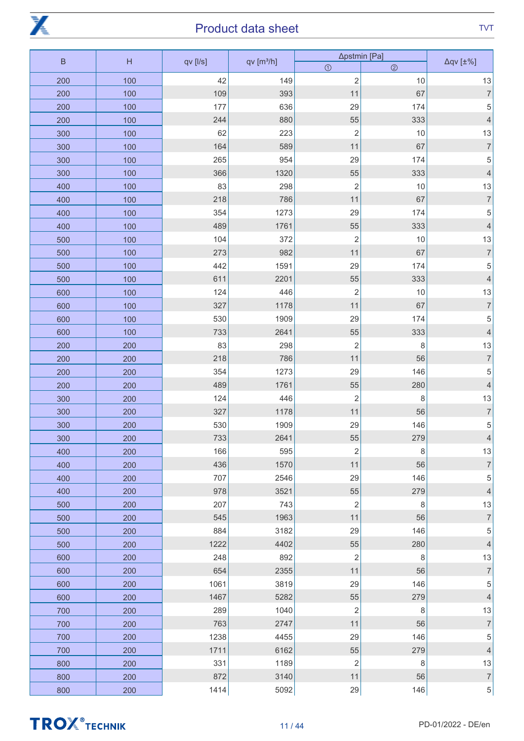

| $\sf B$ | H   |          |                       | ∆pstmin [Pa]   |                |                          |
|---------|-----|----------|-----------------------|----------------|----------------|--------------------------|
|         |     | qv [l/s] | qv[m <sup>3</sup> /h] | $\odot$        | $\circledcirc$ | $\Delta q$ v [ $\pm\%$ ] |
| 200     | 100 | 42       | 149                   | $\overline{c}$ | 10             | 13                       |
| 200     | 100 | 109      | 393                   | 11             | 67             | $\overline{7}$           |
| 200     | 100 | 177      | 636                   | 29             | 174            | 5                        |
| 200     | 100 | 244      | 880                   | 55             | 333            | $\overline{4}$           |
| 300     | 100 | 62       | 223                   | $\overline{c}$ | 10             | $13$                     |
| 300     | 100 | 164      | 589                   | 11             | 67             | $\overline{7}$           |
| 300     | 100 | 265      | 954                   | 29             | 174            | 5                        |
| 300     | 100 | 366      | 1320                  | 55             | 333            | $\overline{4}$           |
| 400     | 100 | 83       | 298                   | $\overline{c}$ | $10$           | $13$                     |
| 400     | 100 | 218      | 786                   | 11             | 67             | $\overline{7}$           |
| 400     | 100 | 354      | 1273                  | 29             | 174            | 5                        |
| 400     | 100 | 489      | 1761                  | 55             | 333            | $\overline{4}$           |
| 500     | 100 | 104      | 372                   | $\mathbf 2$    | $10$           | 13                       |
| 500     | 100 | 273      | 982                   | 11             | 67             | $\overline{7}$           |
| 500     | 100 | 442      | 1591                  | 29             | 174            | 5                        |
| 500     | 100 | 611      | 2201                  | 55             | 333            | $\overline{4}$           |
| 600     | 100 | 124      | 446                   | $\mathbf 2$    | $10$           | 13                       |
| 600     | 100 | 327      | 1178                  | 11             | 67             | $\overline{7}$           |
| 600     | 100 | 530      | 1909                  | 29             | 174            | 5                        |
| 600     | 100 | 733      | 2641                  | 55             | 333            | $\overline{4}$           |
| 200     | 200 | 83       | 298                   | $\mathbf 2$    | 8              | $13\,$                   |
| 200     | 200 | 218      | 786                   | 11             | 56             | $\overline{7}$           |
| 200     | 200 | 354      | 1273                  | 29             | 146            | 5                        |
| 200     | 200 | 489      | 1761                  | 55             | 280            | $\overline{4}$           |
| 300     | 200 | 124      | 446                   | $\mathbf 2$    | 8              | $13$                     |
| 300     | 200 | 327      | 1178                  | 11             | 56             | $\overline{7}$           |
| 300     | 200 | 530      | 1909                  | 29             | 146            | 5                        |
| 300     | 200 | 733      | 2641                  | 55             | 279            | $\overline{\mathcal{L}}$ |
| 400     | 200 | 166      | 595                   | $\sqrt{2}$     | 8              | 13                       |
| 400     | 200 | 436      | 1570                  | 11             | 56             | $\overline{7}$           |
| 400     | 200 | 707      | 2546                  | 29             | 146            | 5                        |
| 400     | 200 | 978      | 3521                  | 55             | 279            | $\overline{4}$           |
| 500     | 200 | 207      | 743                   | $\sqrt{2}$     | 8              | 13                       |
| 500     | 200 | 545      | 1963                  | 11             | 56             | $\boldsymbol{7}$         |
| 500     | 200 | 884      | 3182                  | 29             | 146            | 5                        |
| 500     | 200 | 1222     | 4402                  | 55             | 280            | $\overline{4}$           |
| 600     | 200 | 248      | 892                   | $\sqrt{2}$     | 8              | 13                       |
| 600     | 200 | 654      | 2355                  | 11             | 56             | $\overline{7}$           |
| 600     | 200 | 1061     | 3819                  | 29             | 146            | 5                        |
| 600     | 200 | 1467     | 5282                  | 55             | 279            | $\overline{4}$           |
| 700     | 200 | 289      | 1040                  | $\sqrt{2}$     | 8              | 13                       |
| 700     | 200 | 763      | 2747                  | 11             | 56             | $\overline{7}$           |
| 700     | 200 | 1238     | 4455                  | 29             | 146            | 5                        |
| 700     | 200 | 1711     | 6162                  | 55             | 279            | $\overline{4}$           |
| 800     | 200 | 331      | 1189                  | $\mathbf 2$    | 8              | 13                       |
| 800     | 200 | 872      | 3140                  | 11             | 56             | $\sqrt{ }$               |
| 800     | 200 | 1414     | 5092                  | 29             | 146            | $5\vert$                 |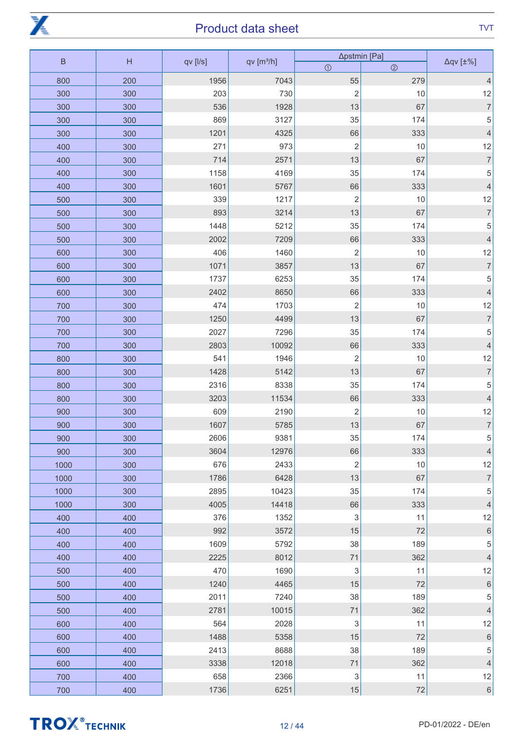

| $\sf B$ | H   |          |                       | ∆pstmin [Pa]            |                | $\Delta qV$ [ $\pm\%$ ] |
|---------|-----|----------|-----------------------|-------------------------|----------------|-------------------------|
|         |     | qv [l/s] | qv[m <sup>3</sup> /h] | $\odot$                 | $\circledcirc$ |                         |
| 800     | 200 | 1956     | 7043                  | 55                      | 279            | $\overline{4}$          |
| 300     | 300 | 203      | 730                   | $\overline{c}$          | 10             | 12                      |
| 300     | 300 | 536      | 1928                  | 13                      | 67             | $\overline{7}$          |
| 300     | 300 | 869      | 3127                  | 35                      | 174            | $\sqrt{5}$              |
| 300     | 300 | 1201     | 4325                  | 66                      | 333            | $\overline{4}$          |
| 400     | 300 | 271      | 973                   | $\sqrt{2}$              | $10$           | 12                      |
| 400     | 300 | 714      | 2571                  | 13                      | 67             | $\boldsymbol{7}$        |
| 400     | 300 | 1158     | 4169                  | 35                      | 174            | $\sqrt{5}$              |
| 400     | 300 | 1601     | 5767                  | 66                      | 333            | $\overline{4}$          |
| 500     | 300 | 339      | 1217                  | $\overline{\mathbf{c}}$ | 10             | 12                      |
| 500     | 300 | 893      | 3214                  | 13                      | 67             | $\boldsymbol{7}$        |
| 500     | 300 | 1448     | 5212                  | 35                      | 174            | 5                       |
| 500     | 300 | 2002     | 7209                  | 66                      | 333            | $\overline{4}$          |
| 600     | 300 | 406      | 1460                  | $\overline{c}$          | 10             | 12                      |
| 600     | 300 | 1071     | 3857                  | 13                      | 67             | $\overline{7}$          |
| 600     | 300 | 1737     | 6253                  | 35                      | 174            | 5                       |
| 600     | 300 | 2402     | 8650                  | 66                      | 333            | $\overline{4}$          |
| 700     | 300 | 474      | 1703                  | $\overline{c}$          | 10             | 12                      |
| 700     | 300 | 1250     | 4499                  | 13                      | 67             | $\overline{7}$          |
| 700     | 300 | 2027     | 7296                  | 35                      | 174            | 5                       |
| 700     | 300 | 2803     | 10092                 | 66                      | 333            | $\overline{4}$          |
| 800     | 300 | 541      | 1946                  | $\overline{2}$          | 10             | 12                      |
| 800     | 300 | 1428     | 5142                  | 13                      | 67             | $\boldsymbol{7}$        |
| 800     | 300 | 2316     | 8338                  | 35                      | 174            | 5                       |
| 800     | 300 | 3203     | 11534                 | 66                      | 333            | $\overline{4}$          |
| 900     | 300 | 609      | 2190                  | $\overline{c}$          | 10             | 12                      |
| 900     | 300 | 1607     | 5785                  | 13                      | 67             | $\boldsymbol{7}$        |
| 900     | 300 | 2606     | 9381                  | 35                      | 174            | $\mathbf 5$             |
| 900     | 300 | 3604     | 12976                 | 66                      | 333            | $\overline{4}$          |
| 1000    | 300 | 676      | 2433                  | $\overline{2}$          | 10             | 12                      |
| 1000    | 300 | 1786     | 6428                  | 13                      | 67             | $\overline{7}$          |
| 1000    | 300 | 2895     | 10423                 | 35                      | 174            | $\mathbf 5$             |
| 1000    | 300 | 4005     | 14418                 | 66                      | 333            | $\overline{4}$          |
| 400     | 400 | 376      | 1352                  | 3                       | 11             | 12                      |
| 400     | 400 | 992      | 3572                  | 15                      | 72             | $\,$ 6 $\,$             |
| 400     | 400 | 1609     | 5792                  | 38                      | 189            | $\,$ 5 $\,$             |
| 400     | 400 | 2225     | 8012                  | 71                      | 362            | $\overline{4}$          |
| 500     | 400 | 470      | 1690                  | 3                       | 11             | 12                      |
| 500     | 400 | 1240     | 4465                  | 15                      | 72             | $\,$ 6 $\,$             |
| 500     | 400 | 2011     | 7240                  | 38                      | 189            | $\mathbf 5$             |
| 500     | 400 | 2781     | 10015                 | 71                      | 362            | $\overline{4}$          |
| 600     | 400 | 564      | 2028                  | 3                       | 11             | 12                      |
| 600     | 400 | 1488     | 5358                  | 15                      | 72             | $\,$ 6 $\,$             |
| 600     | 400 | 2413     | 8688                  | 38                      | 189            | $\mathbf 5$             |
| 600     | 400 | 3338     | 12018                 | 71                      | 362            | $\overline{4}$          |
| 700     | 400 | 658      | 2366                  | 3                       | 11             | 12                      |
| 700     | 400 | 1736     | 6251                  | $15\,$                  | $72\,$         | $\,$ 6 $\,$             |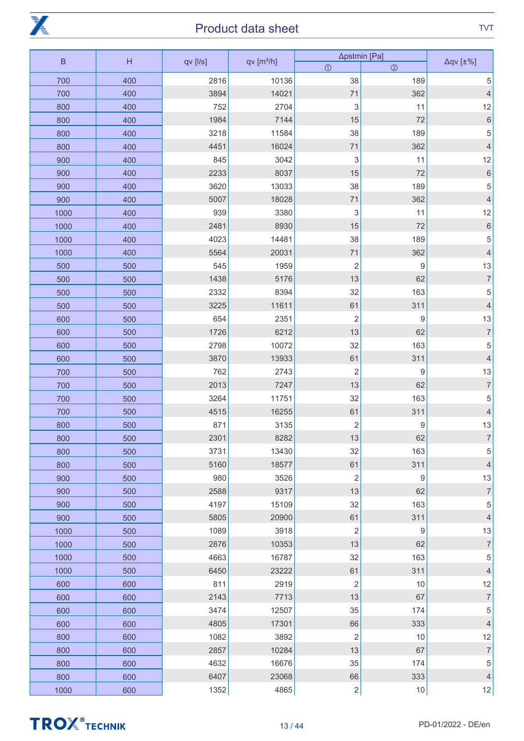

| $\sf B$ | H   | qv [l/s] | qv[m <sup>3</sup> /h] | ∆pstmin [Pa]   |                  | $\Delta qV$ [ $\pm\%$ ]  |
|---------|-----|----------|-----------------------|----------------|------------------|--------------------------|
|         |     |          |                       | $\odot$        | $\circledcirc$   |                          |
| 700     | 400 | 2816     | 10136                 | 38             | 189              | 5                        |
| 700     | 400 | 3894     | 14021                 | 71             | 362              | $\overline{4}$           |
| 800     | 400 | 752      | 2704                  | 3              | 11               | 12                       |
| 800     | 400 | 1984     | 7144                  | 15             | 72               | $\,$ 6 $\,$              |
| 800     | 400 | 3218     | 11584                 | 38             | 189              | $\sqrt{5}$               |
| 800     | 400 | 4451     | 16024                 | 71             | 362              | $\overline{4}$           |
| 900     | 400 | 845      | 3042                  | 3              | 11               | 12                       |
| 900     | 400 | 2233     | 8037                  | 15             | 72               | $\,$ 6 $\,$              |
| 900     | 400 | 3620     | 13033                 | 38             | 189              | $\mathbf 5$              |
| 900     | 400 | 5007     | 18028                 | 71             | 362              | $\overline{4}$           |
| 1000    | 400 | 939      | 3380                  | 3              | 11               | 12                       |
| 1000    | 400 | 2481     | 8930                  | 15             | 72               | $\,$ 6 $\,$              |
| 1000    | 400 | 4023     | 14481                 | 38             | 189              | 5                        |
| 1000    | 400 | 5564     | 20031                 | 71             | 362              | $\overline{4}$           |
| 500     | 500 | 545      | 1959                  | $\overline{2}$ | $\boldsymbol{9}$ | 13                       |
| 500     | 500 | 1438     | 5176                  | 13             | 62               | $\overline{7}$           |
| 500     | 500 | 2332     | 8394                  | 32             | 163              | $\sqrt{5}$               |
| 500     | 500 | 3225     | 11611                 | 61             | 311              | $\overline{4}$           |
| 600     | 500 | 654      | 2351                  | $\overline{c}$ | $\boldsymbol{9}$ | 13                       |
| 600     | 500 | 1726     | 6212                  | 13             | 62               | $\overline{7}$           |
| 600     | 500 | 2798     | 10072                 | 32             | 163              | $\sqrt{5}$               |
| 600     | 500 | 3870     | 13933                 | 61             | 311              | $\overline{4}$           |
| 700     | 500 | 762      | 2743                  | $\overline{c}$ | $\boldsymbol{9}$ | 13                       |
| 700     | 500 | 2013     | 7247                  | 13             | 62               | $\overline{7}$           |
| 700     | 500 | 3264     | 11751                 | 32             | 163              | $\sqrt{5}$               |
| 700     | 500 | 4515     | 16255                 | 61             | 311              | $\overline{4}$           |
| 800     | 500 | 871      | 3135                  | $\overline{c}$ | $\boldsymbol{9}$ | 13                       |
| 800     | 500 | 2301     | 8282                  | 13             | 62               | $\overline{7}$           |
| 800     | 500 | 3731     | 13430                 | 32             | 163              | $\sqrt{5}$               |
| 800     | 500 | 5160     | 18577                 | 61             | 311              | $\overline{4}$           |
| 900     | 500 | 980      | 3526                  | $\overline{c}$ | $\boldsymbol{9}$ | 13                       |
| 900     | 500 | 2588     | 9317                  | 13             | 62               | $\overline{7}$           |
| 900     | 500 | 4197     | 15109                 | 32             | 163              | $\sqrt{5}$               |
| 900     | 500 | 5805     | 20900                 | 61             | 311              | $\overline{4}$           |
| 1000    | 500 | 1089     | 3918                  | $\overline{c}$ | $\boldsymbol{9}$ | 13                       |
| 1000    | 500 | 2876     | 10353                 | 13             | 62               | $\overline{7}$           |
| 1000    | 500 | 4663     | 16787                 | 32             | 163              | $\mathbf 5$              |
| 1000    | 500 | 6450     | 23222                 | 61             | 311              | $\overline{4}$           |
| 600     | 600 | 811      | 2919                  | $\overline{2}$ | 10               | 12                       |
| 600     | 600 | 2143     | 7713                  | 13             | 67               | $\overline{\mathcal{I}}$ |
| 600     | 600 | 3474     | 12507                 | 35             | 174              | $\sqrt{5}$               |
| 600     | 600 | 4805     | 17301                 | 66             | 333              | $\overline{4}$           |
| 800     | 600 | 1082     | 3892                  | $\overline{c}$ | 10               | 12                       |
| 800     | 600 | 2857     | 10284                 | 13             | 67               | $\sqrt{ }$               |
| 800     | 600 | 4632     | 16676                 | 35             | 174              | $\,$ 5 $\,$              |
| 800     | 600 | 6407     | 23068                 | 66             | 333              | $\sqrt{4}$               |
| 1000    | 600 | 1352     | 4865                  | $\sqrt{2}$     | 10               | 12                       |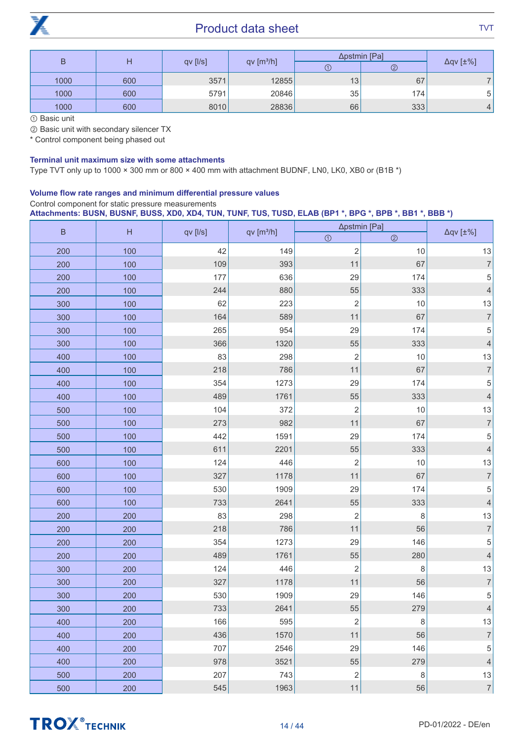

| B    |                |                        |       | Δpstmin [Pa]   |                         |   |
|------|----------------|------------------------|-------|----------------|-------------------------|---|
|      | $qv$ [ $I/s$ ] | qv [m <sup>3</sup> /h] |       | $^{\circledR}$ | $\Delta qV$ [ $\pm\%$ ] |   |
| 1000 | 600            | 3571                   | 12855 | 13             | 67                      |   |
| 1000 | 600            | 5791                   | 20846 | 35             | 174.                    | 5 |
| 1000 | 600            | 8010                   | 28836 | 66             | 333                     | 4 |

① Basic unit

② Basic unit with secondary silencer TX

\* Control component being phased out

#### Terminal unit maximum size with some attachments

Type TVT only up to 1000 × 300 mm or 800 × 400 mm with attachment BUDNF, LN0, LK0, XB0 or (B1B \*)

#### Volume flow rate ranges and minimum differential pressure values

#### Control component for static pressure measurements

**Attachments: BUSN, BUSNF, BUSS, XD0, XD4, TUN, TUNF, TUS, TUSD, ELAB (BP1 \*, BPG \*, BPB \*, BB1 \*, BBB \*)**

| $\sf B$ | H   |          | qv[m <sup>3</sup> /h] | ∆pstmin [Pa]   |                |                          |
|---------|-----|----------|-----------------------|----------------|----------------|--------------------------|
|         |     | qv [l/s] |                       | $\odot$        | $\circledcirc$ | $\Delta q$ v [ $\pm\%$ ] |
| 200     | 100 | 42       | 149                   | $\mathbf 2$    | $10$           | 13                       |
| 200     | 100 | 109      | 393                   | 11             | 67             | $\overline{\mathcal{I}}$ |
| 200     | 100 | 177      | 636                   | 29             | 174            | 5                        |
| 200     | 100 | 244      | 880                   | 55             | 333            | $\overline{4}$           |
| 300     | 100 | 62       | 223                   | $\mathbf 2$    | $10$           | 13                       |
| 300     | 100 | 164      | 589                   | 11             | 67             | $\overline{7}$           |
| 300     | 100 | 265      | 954                   | 29             | 174            | 5                        |
| 300     | 100 | 366      | 1320                  | 55             | 333            | $\overline{4}$           |
| 400     | 100 | 83       | 298                   | $\mathbf 2$    | $10$           | 13                       |
| 400     | 100 | 218      | 786                   | 11             | 67             | $\overline{7}$           |
| 400     | 100 | 354      | 1273                  | 29             | 174            | $\mathbf 5$              |
| 400     | 100 | 489      | 1761                  | 55             | 333            | $\overline{4}$           |
| 500     | 100 | 104      | 372                   | $\mathbf 2$    | $10$           | 13                       |
| 500     | 100 | 273      | 982                   | 11             | 67             | $\overline{7}$           |
| 500     | 100 | 442      | 1591                  | 29             | 174            | $\mathbf 5$              |
| 500     | 100 | 611      | 2201                  | 55             | 333            | $\overline{4}$           |
| 600     | 100 | 124      | 446                   | $\overline{2}$ | $10$           | 13                       |
| 600     | 100 | 327      | 1178                  | 11             | 67             | $\overline{7}$           |
| 600     | 100 | 530      | 1909                  | 29             | 174            | 5                        |
| 600     | 100 | 733      | 2641                  | 55             | 333            | $\overline{4}$           |
| 200     | 200 | 83       | 298                   | $\overline{c}$ | 8              | 13                       |
| 200     | 200 | 218      | 786                   | 11             | 56             | $\overline{7}$           |
| 200     | 200 | 354      | 1273                  | 29             | 146            | 5                        |
| 200     | 200 | 489      | 1761                  | 55             | 280            | $\overline{4}$           |
| 300     | 200 | 124      | 446                   | $\overline{c}$ | 8              | 13                       |
| 300     | 200 | 327      | 1178                  | 11             | 56             | $\overline{7}$           |
| 300     | 200 | 530      | 1909                  | 29             | 146            | 5                        |
| 300     | 200 | 733      | 2641                  | 55             | 279            | $\overline{4}$           |
| 400     | 200 | 166      | 595                   | $\sqrt{2}$     | 8              | $13\,$                   |
| 400     | 200 | 436      | 1570                  | 11             | 56             | $\sqrt{ }$               |
| 400     | 200 | 707      | 2546                  | 29             | 146            | 5                        |
| 400     | 200 | 978      | 3521                  | 55             | 279            | $\overline{4}$           |
| 500     | 200 | 207      | 743                   | $\mathbf 2$    | 8              | $13$                     |
| 500     | 200 | 545      | 1963                  | 11             | 56             | $\overline{7}$           |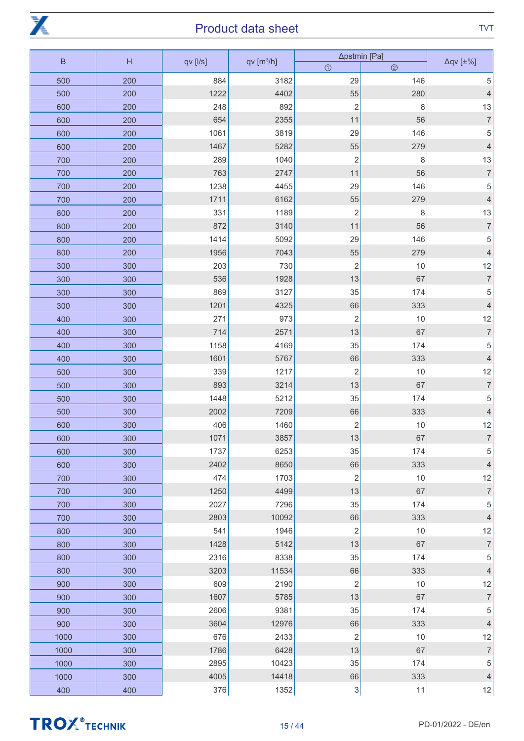

| $\sf B$<br>H |     | qv [l/s] | qv[m <sup>3</sup> /h] | Δpstmin [Pa]              | $\Delta q$ v [ $\pm\%$ ] |                  |
|--------------|-----|----------|-----------------------|---------------------------|--------------------------|------------------|
|              |     |          |                       | $\odot$                   | $\circledcirc$           |                  |
| 500          | 200 | 884      | 3182                  | 29                        | 146                      | 5                |
| 500          | 200 | 1222     | 4402                  | 55                        | 280                      | $\overline{4}$   |
| 600          | 200 | 248      | 892                   | $\overline{2}$            | 8                        | 13               |
| 600          | 200 | 654      | 2355                  | 11                        | 56                       | $\overline{7}$   |
| 600          | 200 | 1061     | 3819                  | 29                        | 146                      | 5                |
| 600          | 200 | 1467     | 5282                  | 55                        | 279                      | $\overline{4}$   |
| 700          | 200 | 289      | 1040                  | $\overline{2}$            | 8                        | 13               |
| 700          | 200 | 763      | 2747                  | 11                        | 56                       | $\overline{7}$   |
| 700          | 200 | 1238     | 4455                  | 29                        | 146                      | 5                |
| 700          | 200 | 1711     | 6162                  | 55                        | 279                      | $\overline{4}$   |
| 800          | 200 | 331      | 1189                  | $\overline{c}$            | 8                        | 13               |
| 800          | 200 | 872      | 3140                  | 11                        | 56                       | $\overline{7}$   |
| 800          | 200 | 1414     | 5092                  | 29                        | 146                      | 5                |
| 800          | 200 | 1956     | 7043                  | 55                        | 279                      | $\overline{4}$   |
| 300          | 300 | 203      | 730                   | $\overline{c}$            | 10                       | 12               |
| 300          | 300 | 536      | 1928                  | 13                        | 67                       | $\overline{7}$   |
| 300          | 300 | 869      | 3127                  | 35                        | 174                      | $\mathbf 5$      |
| 300          | 300 | 1201     | 4325                  | 66                        | 333                      | $\overline{4}$   |
| 400          | 300 | 271      | 973                   | $\mathbf 2$               | 10                       | 12               |
| 400          | 300 | 714      | 2571                  | 13                        | 67                       | $\overline{7}$   |
| 400          | 300 | 1158     | 4169                  | $35\,$                    | 174                      | 5                |
| 400          | 300 | 1601     | 5767                  | 66                        | 333                      | $\overline{4}$   |
| 500          | 300 | 339      | 1217                  | $\sqrt{2}$                | 10                       | 12               |
| 500          | 300 | 893      | 3214                  | 13                        | 67                       | $\overline{7}$   |
| 500          | 300 | 1448     | 5212                  | 35                        | 174                      | $\mathbf 5$      |
| 500          | 300 | 2002     | 7209                  | 66                        | 333                      | $\overline{4}$   |
| 600          | 300 | 406      | 1460                  | $\overline{c}$            | 10                       | 12               |
| 600          | 300 | 1071     | 3857                  | $13$                      | 67                       | $\overline{7}$   |
| 600          | 300 | 1737     | 6253                  | 35                        | 174                      | $\mathbf 5$      |
| 600          | 300 | 2402     | 8650                  | 66                        | 333                      | $\overline{4}$   |
| 700          | 300 | 474      | 1703                  | $\overline{2}$            | 10                       | 12               |
| 700          | 300 | 1250     | 4499                  | 13                        | 67                       | $\overline{7}$   |
| 700          | 300 | 2027     | 7296                  | 35                        | 174                      | $\mathbf 5$      |
| 700          | 300 | 2803     | 10092                 | 66                        | 333                      | $\overline{4}$   |
| 800          | 300 | 541      | 1946                  | $\overline{2}$            | 10                       | 12               |
| 800          | 300 | 1428     | 5142                  | 13                        | 67                       | $\boldsymbol{7}$ |
| 800          | 300 | 2316     | 8338                  | 35                        | 174                      | $\mathbf 5$      |
| 800          | 300 | 3203     | 11534                 | 66                        | 333                      | $\overline{4}$   |
| 900          | 300 | 609      | 2190                  | $\overline{2}$            | 10                       | 12               |
| 900          | 300 | 1607     | 5785                  | 13                        | 67                       | $\boldsymbol{7}$ |
| 900          | 300 | 2606     | 9381                  | 35                        | 174                      | $\mathbf 5$      |
| 900          | 300 | 3604     | 12976                 | 66                        | 333                      | $\overline{4}$   |
| 1000         | 300 | 676      | 2433                  | $\overline{2}$            | 10                       | 12               |
| 1000         | 300 | 1786     | 6428                  | 13                        | 67                       | $\boldsymbol{7}$ |
| 1000         | 300 | 2895     | 10423                 | 35                        | 174                      | 5                |
| 1000         | 300 | 4005     | 14418                 | 66                        | 333                      | $\overline{4}$   |
| 400          | 400 | 376      | 1352                  | $\ensuremath{\mathsf{3}}$ | 11                       | 12               |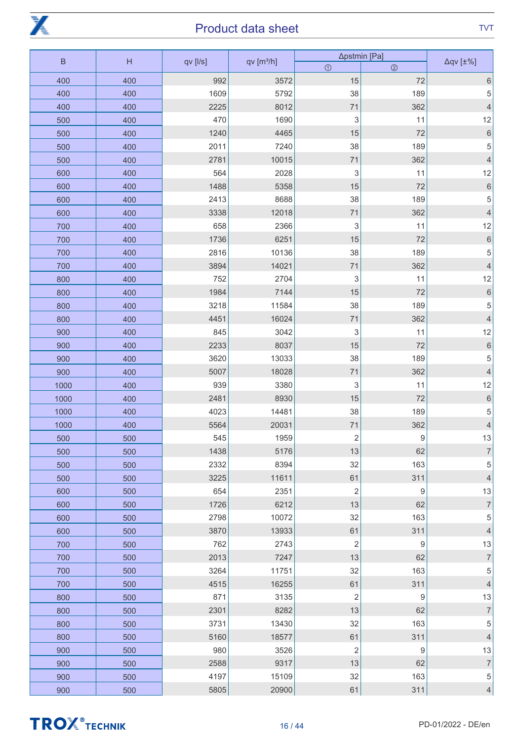

|      | $\sf B$<br>H<br>qv [l/s] |      | qv[m <sup>3</sup> /h] | ∆pstmin [Pa]   | $\Delta qV$ [ $\pm\%$ ] |                          |
|------|--------------------------|------|-----------------------|----------------|-------------------------|--------------------------|
|      |                          |      |                       | $\odot$        | $\circledcirc$          |                          |
| 400  | 400                      | 992  | 3572                  | 15             | 72                      | $\,6\,$                  |
| 400  | 400                      | 1609 | 5792                  | 38             | 189                     | 5                        |
| 400  | 400                      | 2225 | 8012                  | 71             | 362                     | $\overline{4}$           |
| 500  | 400                      | 470  | 1690                  | 3              | 11                      | 12                       |
| 500  | 400                      | 1240 | 4465                  | 15             | 72                      | $\,$ 6 $\,$              |
| 500  | 400                      | 2011 | 7240                  | 38             | 189                     | $\mathbf 5$              |
| 500  | 400                      | 2781 | 10015                 | 71             | 362                     | $\overline{4}$           |
| 600  | 400                      | 564  | 2028                  | 3              | 11                      | 12                       |
| 600  | 400                      | 1488 | 5358                  | 15             | 72                      | $\,$ 6 $\,$              |
| 600  | 400                      | 2413 | 8688                  | 38             | 189                     | $\mathbf 5$              |
| 600  | 400                      | 3338 | 12018                 | 71             | 362                     | $\overline{4}$           |
| 700  | 400                      | 658  | 2366                  | 3              | 11                      | 12                       |
| 700  | 400                      | 1736 | 6251                  | 15             | 72                      | $\,$ 6 $\,$              |
| 700  | 400                      | 2816 | 10136                 | 38             | 189                     | 5                        |
| 700  | 400                      | 3894 | 14021                 | 71             | 362                     | $\overline{4}$           |
| 800  | 400                      | 752  | 2704                  | 3              | 11                      | 12                       |
| 800  | 400                      | 1984 | 7144                  | $15$           | 72                      | $\,$ 6 $\,$              |
| 800  | 400                      | 3218 | 11584                 | 38             | 189                     | 5                        |
| 800  | 400                      | 4451 | 16024                 | 71             | 362                     | $\overline{4}$           |
| 900  | 400                      | 845  | 3042                  | 3              | 11                      | 12                       |
| 900  | 400                      | 2233 | 8037                  | 15             | 72                      | $\,$ 6 $\,$              |
| 900  | 400                      | 3620 | 13033                 | 38             | 189                     | $\mathbf 5$              |
| 900  | 400                      | 5007 | 18028                 | 71             | 362                     | $\overline{4}$           |
| 1000 | 400                      | 939  | 3380                  | 3              | 11                      | 12                       |
| 1000 | 400                      | 2481 | 8930                  | 15             | 72                      | $\,$ 6 $\,$              |
| 1000 | 400                      | 4023 | 14481                 | 38             | 189                     | 5                        |
| 1000 | 400                      | 5564 | 20031                 | 71             | 362                     | $\overline{4}$           |
| 500  | 500                      | 545  | 1959                  | $\sqrt{2}$     | $\boldsymbol{9}$        | 13                       |
| 500  | 500                      | 1438 | 5176                  | 13             | 62                      | $\overline{\mathcal{I}}$ |
| 500  | 500                      | 2332 | 8394                  | 32             | 163                     | $\mathbf 5$              |
| 500  | 500                      | 3225 | 11611                 | 61             | 311                     | $\overline{4}$           |
| 600  | 500                      | 654  | 2351                  | $\overline{2}$ | $\hbox{9}$              | 13                       |
| 600  | 500                      | 1726 | 6212                  | 13             | 62                      | $\overline{\mathcal{I}}$ |
| 600  | 500                      | 2798 | 10072                 | 32             | 163                     | $\mathbf 5$              |
| 600  | 500                      | 3870 | 13933                 | 61             | 311                     | $\overline{4}$           |
| 700  | 500                      | 762  | 2743                  | $\overline{c}$ | $\boldsymbol{9}$        | 13                       |
| 700  | 500                      | 2013 | 7247                  | 13             | 62                      | $\overline{\mathcal{I}}$ |
| 700  | 500                      | 3264 | 11751                 | 32             | 163                     | $\,$ 5 $\,$              |
| 700  | 500                      | 4515 | 16255                 | 61             | 311                     | $\overline{4}$           |
| 800  | 500                      | 871  | 3135                  | $\overline{c}$ | $\boldsymbol{9}$        | 13                       |
| 800  | 500                      | 2301 | 8282                  | 13             | 62                      | $\overline{7}$           |
| 800  | 500                      | 3731 | 13430                 | 32             | 163                     | 5                        |
| 800  | 500                      | 5160 | 18577                 | 61             | 311                     | $\overline{4}$           |
| 900  | 500                      | 980  | 3526                  | $\sqrt{2}$     | $\boldsymbol{9}$        | 13                       |
| 900  | 500                      | 2588 | 9317                  | 13             | 62                      | $\boldsymbol{7}$         |
| 900  | 500                      | 4197 | 15109                 | 32             | 163                     | $\,$ 5 $\,$              |
| 900  | 500                      | 5805 | 20900                 | 61             | 311                     | $\overline{4}$           |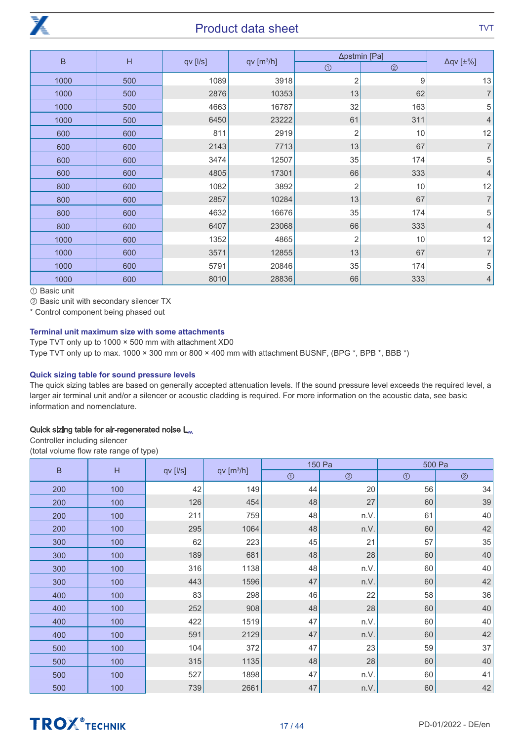

|             |     |          |                        | Δpstmin [Pa]   |                |                         |
|-------------|-----|----------|------------------------|----------------|----------------|-------------------------|
| $\mathsf B$ | H   | qv [l/s] | qv [m <sup>3</sup> /h] | $\odot$        | $\circledcirc$ | $\Delta qV$ [ $\pm\%$ ] |
| 1000        | 500 | 1089     | 3918                   | $\overline{2}$ | 9              | 13                      |
| 1000        | 500 | 2876     | 10353                  | 13             | 62             | $\overline{7}$          |
| 1000        | 500 | 4663     | 16787                  | 32             | 163            | 5                       |
| 1000        | 500 | 6450     | 23222                  | 61             | 311            | $\overline{4}$          |
| 600         | 600 | 811      | 2919                   | $\overline{2}$ | 10             | 12                      |
| 600         | 600 | 2143     | 7713                   | 13             | 67             | $\overline{7}$          |
| 600         | 600 | 3474     | 12507                  | 35             | 174            | 5                       |
| 600         | 600 | 4805     | 17301                  | 66             | 333            | $\overline{4}$          |
| 800         | 600 | 1082     | 3892                   | $\overline{2}$ | 10             | 12                      |
| 800         | 600 | 2857     | 10284                  | 13             | 67             | $\overline{7}$          |
| 800         | 600 | 4632     | 16676                  | 35             | 174            | 5                       |
| 800         | 600 | 6407     | 23068                  | 66             | 333            | $\overline{4}$          |
| 1000        | 600 | 1352     | 4865                   | $\overline{2}$ | 10             | 12                      |
| 1000        | 600 | 3571     | 12855                  | 13             | 67             | $\overline{7}$          |
| 1000        | 600 | 5791     | 20846                  | 35             | 174            | 5                       |
| 1000        | 600 | 8010     | 28836                  | 66             | 333            | $\overline{4}$          |

① Basic unit

② Basic unit with secondary silencer TX

\* Control component being phased out

#### Terminal unit maximum size with some attachments

Type TVT only up to 1000 × 500 mm with attachment XD0 Type TVT only up to max.  $1000 \times 300$  mm or  $800 \times 400$  mm with attachment BUSNF, (BPG  $^*$ , BPB  $^*$ , BBB  $^*$ )

#### Quick sizing table for sound pressure levels

The quick sizing tables are based on generally accepted attenuation levels. If the sound pressure level exceeds the required level, a larger air terminal unit and/or a silencer or acoustic cladding is required. For more information on the acoustic data, see basic information and nomenclature.

#### Quick sizing table for air-regenerated noise  $L_{\text{PA}}$

Controller including silencer (total volume flow rate range of type)

| $\mathsf B$ | $\overline{H}$ |          | qv [m <sup>3</sup> /h] | 150 Pa  |                | 500 Pa  |                |
|-------------|----------------|----------|------------------------|---------|----------------|---------|----------------|
|             |                | qv [l/s] |                        | $\odot$ | $\circledcirc$ | $\odot$ | $\circledcirc$ |
| 200         | 100            | 42       | 149                    | 44      | 20             | 56      | 34             |
| 200         | 100            | 126      | 454                    | 48      | 27             | 60      | 39             |
| 200         | 100            | 211      | 759                    | 48      | n.V.           | 61      | 40             |
| 200         | 100            | 295      | 1064                   | 48      | n.V.           | 60      | 42             |
| 300         | 100            | 62       | 223                    | 45      | 21             | 57      | 35             |
| 300         | 100            | 189      | 681                    | 48      | 28             | 60      | 40             |
| 300         | 100            | 316      | 1138                   | 48      | n.V.           | 60      | 40             |
| 300         | 100            | 443      | 1596                   | 47      | n.V.           | 60      | 42             |
| 400         | 100            | 83       | 298                    | 46      | 22             | 58      | 36             |
| 400         | 100            | 252      | 908                    | 48      | 28             | 60      | 40             |
| 400         | 100            | 422      | 1519                   | 47      | n.V.           | 60      | 40             |
| 400         | 100            | 591      | 2129                   | 47      | n.V.           | 60      | 42             |
| 500         | 100            | 104      | 372                    | 47      | 23             | 59      | 37             |
| 500         | 100            | 315      | 1135                   | 48      | 28             | 60      | 40             |
| 500         | 100            | 527      | 1898                   | 47      | n.V.           | 60      | 41             |
| 500         | 100            | 739      | 2661                   | 47      | n.V.           | 60      | $42\,$         |



# **TROX** TECHNIK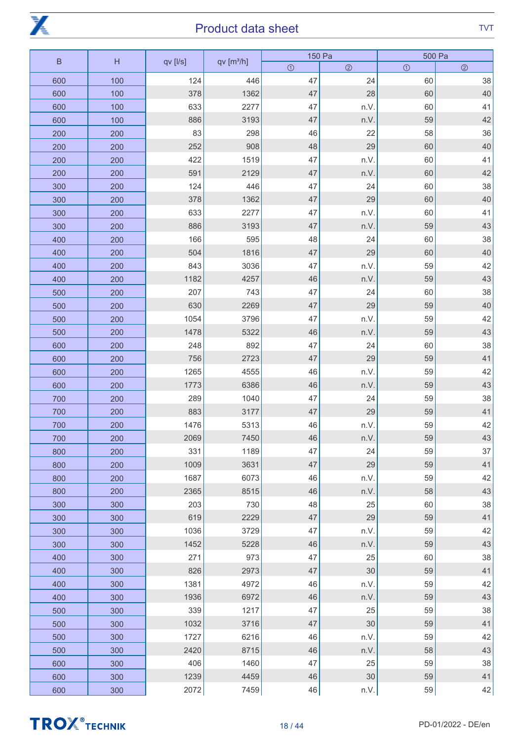

| $\sf B$ |     |          | qv [m <sup>3</sup> /h] | 150 Pa  |                | 500 Pa  |                |
|---------|-----|----------|------------------------|---------|----------------|---------|----------------|
|         | H   | qv [l/s] |                        | $\odot$ | $\circledcirc$ | $\odot$ | $\circledcirc$ |
| 600     | 100 | 124      | 446                    | 47      | 24             | 60      | 38             |
| 600     | 100 | 378      | 1362                   | 47      | 28             | 60      | 40             |
| 600     | 100 | 633      | 2277                   | 47      | n.V.           | 60      | 41             |
| 600     | 100 | 886      | 3193                   | 47      | n.V.           | 59      | 42             |
| 200     | 200 | 83       | 298                    | 46      | 22             | 58      | 36             |
| 200     | 200 | 252      | 908                    | 48      | 29             | 60      | 40             |
| 200     | 200 | 422      | 1519                   | 47      | n.V.           | 60      | 41             |
| 200     | 200 | 591      | 2129                   | 47      | n.V.           | 60      | 42             |
| 300     | 200 | 124      | 446                    | 47      | 24             | 60      | 38             |
| 300     | 200 | 378      | 1362                   | 47      | 29             | 60      | 40             |
| 300     | 200 | 633      | 2277                   | 47      | n.V.           | 60      | 41             |
| 300     | 200 | 886      | 3193                   | 47      | n.V.           | 59      | 43             |
| 400     | 200 | 166      | 595                    | 48      | 24             | 60      | 38             |
| 400     | 200 | 504      | 1816                   | 47      | 29             | 60      | 40             |
| 400     | 200 | 843      | 3036                   | 47      | n.V.           | 59      | 42             |
| 400     | 200 | 1182     | 4257                   | 46      | n.V.           | 59      | 43             |
| 500     | 200 | 207      | 743                    | 47      | 24             | 60      | 38             |
| 500     | 200 | 630      | 2269                   | 47      | 29             | 59      | 40             |
| 500     | 200 | 1054     | 3796                   | 47      | n.V.           | 59      | 42             |
| 500     | 200 | 1478     | 5322                   | 46      | n.V.           | 59      | 43             |
| 600     | 200 | 248      | 892                    | 47      | 24             | 60      | 38             |
| 600     | 200 | 756      | 2723                   | 47      | 29             | 59      | 41             |
| 600     | 200 | 1265     | 4555                   | 46      | n.V.           | 59      | 42             |
| 600     | 200 | 1773     | 6386                   | 46      | n.V.           | 59      | 43             |
| 700     | 200 | 289      | 1040                   | 47      | 24             | 59      | 38             |
| 700     | 200 | 883      | 3177                   | 47      | 29             | 59      | 41             |
| 700     | 200 | 1476     | 5313                   | 46      | n.V.           | 59      | 42             |
| 700     | 200 | 2069     | 7450                   | 46      | n.V.           | 59      | 43             |
| 800     | 200 | 331      | 1189                   | 47      | 24             | 59      | 37             |
| 800     | 200 | 1009     | 3631                   | 47      | 29             | 59      | 41             |
| 800     | 200 | 1687     | 6073                   | 46      | n.V.           | 59      | 42             |
| 800     | 200 | 2365     | 8515                   | 46      | n.V.           | 58      | 43             |
| 300     | 300 | 203      | 730                    | 48      | 25             | 60      | 38             |
| 300     | 300 | 619      | 2229                   | 47      | 29             | 59      | 41             |
| 300     | 300 | 1036     | 3729                   | 47      | n.V.           | 59      | 42             |
| 300     | 300 | 1452     | 5228                   | 46      | n.V.           | 59      | 43             |
| 400     | 300 | 271      | 973                    | 47      | 25             | 60      | 38             |
| 400     | 300 | 826      | 2973                   | 47      | 30             | 59      | 41             |
| 400     | 300 | 1381     | 4972                   | 46      | n.V.           | 59      | 42             |
| 400     | 300 | 1936     | 6972                   | 46      | n.V.           | 59      | 43             |
| 500     | 300 | 339      | 1217                   | 47      | 25             | 59      | 38             |
| 500     | 300 | 1032     | 3716                   | 47      | 30             | 59      | 41             |
| 500     | 300 | 1727     | 6216                   | 46      | n.V.           | 59      | 42             |
| 500     | 300 | 2420     | 8715                   | $46\,$  | n.V.           | 58      | 43             |
| 600     | 300 | 406      | 1460                   | 47      | 25             | 59      | 38             |
| 600     | 300 | 1239     | 4459                   | $46\,$  | 30             | 59      | 41             |
| 600     | 300 | 2072     | 7459                   | 46      | n.V.           | 59      | 42             |
|         |     |          |                        |         |                |         |                |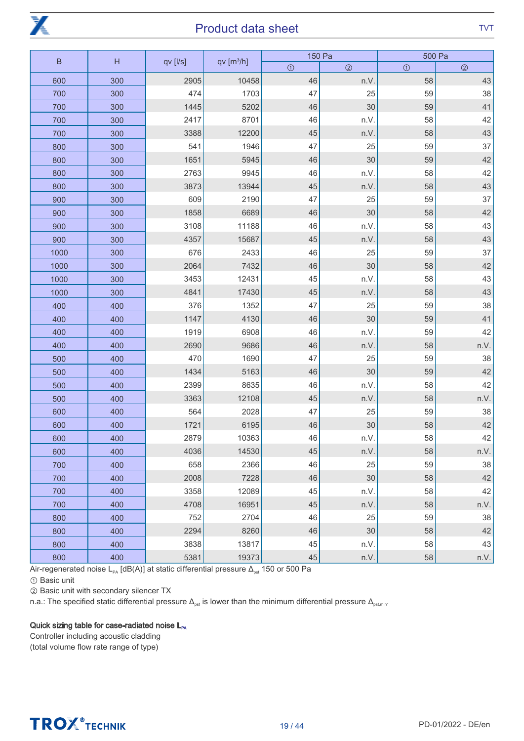

| $\sf B$ | H   | qv [l/s] | qv[ <sup>3</sup> /h] |         | 150 Pa         |         | 500 Pa      |
|---------|-----|----------|----------------------|---------|----------------|---------|-------------|
|         |     |          |                      | $\odot$ | $\circledcirc$ | $\odot$ | $\circledS$ |
| 600     | 300 | 2905     | 10458                | 46      | n.V.           | 58      | 43          |
| 700     | 300 | 474      | 1703                 | 47      | 25             | 59      | 38          |
| 700     | 300 | 1445     | 5202                 | 46      | 30             | 59      | 41          |
| 700     | 300 | 2417     | 8701                 | 46      | n.V.           | 58      | 42          |
| 700     | 300 | 3388     | 12200                | 45      | n.V.           | 58      | 43          |
| 800     | 300 | 541      | 1946                 | 47      | 25             | 59      | 37          |
| 800     | 300 | 1651     | 5945                 | 46      | 30             | 59      | 42          |
| 800     | 300 | 2763     | 9945                 | 46      | n.V.           | 58      | 42          |
| 800     | 300 | 3873     | 13944                | 45      | n.V.           | 58      | 43          |
| 900     | 300 | 609      | 2190                 | 47      | 25             | 59      | 37          |
| 900     | 300 | 1858     | 6689                 | 46      | 30             | 58      | 42          |
| 900     | 300 | 3108     | 11188                | 46      | n.V.           | 58      | 43          |
| 900     | 300 | 4357     | 15687                | 45      | n.V.           | 58      | 43          |
| 1000    | 300 | 676      | 2433                 | 46      | 25             | 59      | 37          |
| 1000    | 300 | 2064     | 7432                 | 46      | 30             | 58      | 42          |
| 1000    | 300 | 3453     | 12431                | 45      | n.V.           | 58      | 43          |
| 1000    | 300 | 4841     | 17430                | 45      | n.V.           | 58      | 43          |
| 400     | 400 | 376      | 1352                 | 47      | 25             | 59      | 38          |
| 400     | 400 | 1147     | 4130                 | 46      | 30             | 59      | 41          |
| 400     | 400 | 1919     | 6908                 | 46      | n.V.           | 59      | 42          |
| 400     | 400 | 2690     | 9686                 | 46      | n.V.           | 58      | n.V.        |
| 500     | 400 | 470      | 1690                 | 47      | 25             | 59      | 38          |
| 500     | 400 | 1434     | 5163                 | 46      | 30             | 59      | 42          |
| 500     | 400 | 2399     | 8635                 | 46      | n.V.           | 58      | 42          |
| 500     | 400 | 3363     | 12108                | 45      | n.V.           | 58      | n.V.        |
| 600     | 400 | 564      | 2028                 | 47      | 25             | 59      | 38          |
| 600     | 400 | 1721     | 6195                 | 46      | 30             | 58      | 42          |
| 600     | 400 | 2879     | 10363                | 46      | n.V.           | 58      | 42          |
| 600     | 400 | 4036     | 14530                | 45      | n.V.           | 58      | n.V.        |
| 700     | 400 | 658      | 2366                 | 46      | 25             | 59      | 38          |
| 700     | 400 | 2008     | 7228                 | 46      | 30             | 58      | 42          |
| 700     | 400 | 3358     | 12089                | 45      | n.V.           | 58      | 42          |
| 700     | 400 | 4708     | 16951                | 45      | n.V.           | 58      | n.V.        |
| 800     | 400 | 752      | 2704                 | 46      | 25             | 59      | 38          |
| 800     | 400 | 2294     | 8260                 | 46      | 30             | 58      | 42          |
| 800     | 400 | 3838     | 13817                | $45\,$  | n.V.           | 58      | 43          |
| 800     | 400 | 5381     | 19373                | $45\,$  | n.V.           | 58      | n.V.        |

Air-regenerated noise L<sub>PA</sub> [dB(A)] at static differential pressure  $\Delta_{\text{pst}}$  150 or 500 Pa

① Basic unit

② Basic unit with secondary silencer TX

n.a.: The specified static differential pressure  $\Delta_{\rm ost}$  is lower than the minimum differential pressure  $\Delta_{\rm ost,min}$ .

#### Quick sizing table for case-radiated noise L<sub>PA</sub>

Controller including acoustic cladding (total volume flow rate range of type)



# **TROX** TECHNIK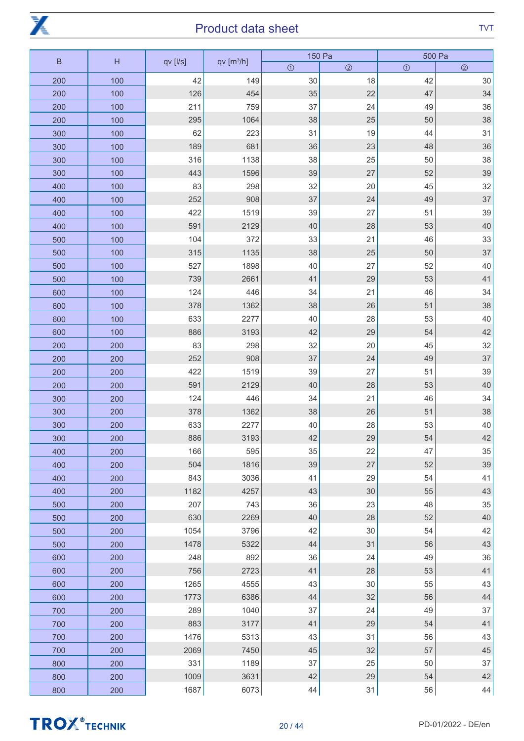

| $\sf B$<br>H |     | qv [l/s] | qv[m <sup>3</sup> /h] | 150 Pa  |             | 500 Pa  |                |
|--------------|-----|----------|-----------------------|---------|-------------|---------|----------------|
|              |     |          |                       | $\odot$ | $\circledS$ | $\odot$ | $\circledcirc$ |
| 200          | 100 | 42       | 149                   | 30      | 18          | 42      | 30             |
| 200          | 100 | 126      | 454                   | 35      | 22          | 47      | 34             |
| 200          | 100 | 211      | 759                   | 37      | 24          | 49      | 36             |
| 200          | 100 | 295      | 1064                  | 38      | 25          | 50      | 38             |
| 300          | 100 | 62       | 223                   | 31      | 19          | 44      | 31             |
| 300          | 100 | 189      | 681                   | 36      | 23          | 48      | 36             |
| 300          | 100 | 316      | 1138                  | 38      | 25          | 50      | 38             |
| 300          | 100 | 443      | 1596                  | 39      | 27          | 52      | 39             |
| 400          | 100 | 83       | 298                   | 32      | 20          | 45      | 32             |
| 400          | 100 | 252      | 908                   | 37      | 24          | 49      | 37             |
| 400          | 100 | 422      | 1519                  | 39      | 27          | 51      | 39             |
| 400          | 100 | 591      | 2129                  | 40      | 28          | 53      | 40             |
| 500          | 100 | 104      | 372                   | 33      | 21          | 46      | 33             |
| 500          | 100 | 315      | 1135                  | 38      | 25          | 50      | 37             |
| 500          | 100 | 527      | 1898                  | 40      | 27          | 52      | 40             |
| 500          | 100 | 739      | 2661                  | 41      | 29          | 53      | 41             |
| 600          | 100 | 124      | 446                   | 34      | 21          | 46      | 34             |
| 600          | 100 | 378      | 1362                  | 38      | 26          | 51      | 38             |
| 600          | 100 | 633      | 2277                  | 40      | 28          | 53      | 40             |
| 600          | 100 | 886      | 3193                  | 42      | 29          | 54      | 42             |
| 200          | 200 | 83       | 298                   | 32      | 20          | 45      | 32             |
| 200          | 200 | 252      | 908                   | 37      | 24          | 49      | 37             |
| 200          | 200 | 422      | 1519                  | 39      | 27          | 51      | 39             |
| 200          | 200 | 591      | 2129                  | 40      | 28          | 53      | 40             |
| 300          | 200 | 124      | 446                   | 34      | 21          | 46      | 34             |
| 300          | 200 | 378      | 1362                  | 38      | 26          | 51      | 38             |
| 300          | 200 | 633      | 2277                  | 40      | 28          | 53      | 40             |
| 300          | 200 | 886      | 3193                  | 42      | 29          | 54      | 42             |
| 400          | 200 | 166      | 595                   | 35      | 22          | 47      | 35             |
| 400          | 200 | 504      | 1816                  | 39      | 27          | 52      | 39             |
| 400          | 200 | 843      | 3036                  | 41      | 29          | 54      | 41             |
| 400          | 200 | 1182     | 4257                  | 43      | 30          | 55      | 43             |
| 500          | 200 | 207      | 743                   | 36      | 23          | 48      | 35             |
| 500          | 200 | 630      | 2269                  | 40      | 28          | 52      | 40             |
| 500          | 200 | 1054     | 3796                  | 42      | 30          | 54      | 42             |
| 500          | 200 | 1478     | 5322                  | 44      | 31          | 56      | 43             |
| 600          | 200 | 248      | 892                   | 36      | 24          | 49      | 36             |
| 600          | 200 | 756      | 2723                  | 41      | 28          | 53      | 41             |
| 600          | 200 | 1265     | 4555                  | 43      | 30          | 55      | 43             |
| 600          | 200 | 1773     | 6386                  | 44      | 32          | 56      | 44             |
| 700          | 200 | 289      | 1040                  | 37      | 24          | 49      | 37             |
| 700          | 200 | 883      | 3177                  | 41      | 29          | 54      | 41             |
| 700          | 200 | 1476     | 5313                  | 43      | 31          | 56      | 43             |
| 700          | 200 | 2069     | 7450                  | 45      | 32          | 57      | 45             |
| 800          | 200 | 331      | 1189                  | 37      | 25          | 50      | 37             |
| 800          | 200 | 1009     | 3631                  | 42      | 29          | 54      | $42\,$         |
| 800          | 200 | 1687     | 6073                  | 44      | 31          | 56      | $44\,$         |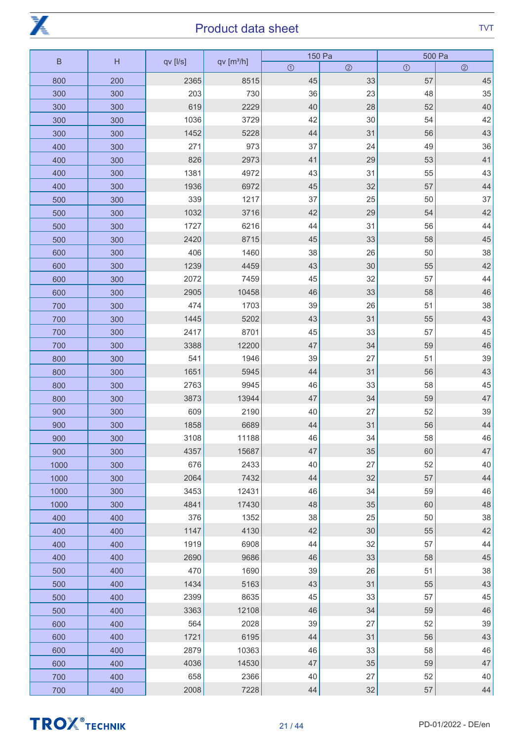

| $\sf B$ | H   |          |                       | 150 Pa  |                | 500 Pa  |             |
|---------|-----|----------|-----------------------|---------|----------------|---------|-------------|
|         |     | qv [l/s] | qv[m <sup>3</sup> /h] | $\odot$ | $\circledcirc$ | $\odot$ | $\circledS$ |
| 800     | 200 | 2365     | 8515                  | 45      | 33             | 57      | 45          |
| 300     | 300 | 203      | 730                   | 36      | 23             | 48      | 35          |
| 300     | 300 | 619      | 2229                  | 40      | 28             | 52      | 40          |
| 300     | 300 | 1036     | 3729                  | 42      | 30             | 54      | 42          |
| 300     | 300 | 1452     | 5228                  | 44      | 31             | 56      | 43          |
| 400     | 300 | 271      | 973                   | 37      | 24             | 49      | 36          |
| 400     | 300 | 826      | 2973                  | 41      | 29             | 53      | 41          |
| 400     | 300 | 1381     | 4972                  | 43      | 31             | 55      | 43          |
| 400     | 300 | 1936     | 6972                  | 45      | 32             | 57      | 44          |
| 500     | 300 | 339      | 1217                  | 37      | 25             | 50      | 37          |
| 500     | 300 | 1032     | 3716                  | 42      | 29             | 54      | 42          |
| 500     | 300 | 1727     | 6216                  | 44      | 31             | 56      | 44          |
| 500     | 300 | 2420     | 8715                  | 45      | 33             | 58      | 45          |
| 600     | 300 | 406      | 1460                  | 38      | 26             | 50      | 38          |
| 600     | 300 | 1239     | 4459                  | 43      | 30             | 55      | 42          |
| 600     | 300 | 2072     | 7459                  | 45      | 32             | 57      | 44          |
| 600     | 300 | 2905     | 10458                 | 46      | 33             | 58      | 46          |
| 700     | 300 | 474      | 1703                  | 39      | 26             | 51      | 38          |
| 700     | 300 | 1445     | 5202                  | 43      | 31             | 55      | 43          |
| 700     | 300 | 2417     | 8701                  | 45      | 33             | 57      | 45          |
| 700     | 300 | 3388     | 12200                 | 47      | 34             | 59      | 46          |
| 800     | 300 | 541      | 1946                  | 39      | 27             | 51      | 39          |
| 800     | 300 | 1651     | 5945                  | 44      | 31             | 56      | 43          |
| 800     | 300 | 2763     | 9945                  | 46      | 33             | 58      | 45          |
| 800     | 300 | 3873     | 13944                 | 47      | 34             | 59      | 47          |
| 900     | 300 | 609      | 2190                  | 40      | 27             | 52      | 39          |
| 900     | 300 | 1858     | 6689                  | 44      | 31             | 56      | 44          |
| 900     | 300 | 3108     | 11188                 | 46      | 34             | 58      | 46          |
| 900     | 300 | 4357     | 15687                 | 47      | 35             | 60      | 47          |
| 1000    | 300 | 676      | 2433                  | 40      | 27             | 52      | 40          |
| 1000    | 300 | 2064     | 7432                  | 44      | 32             | 57      | 44          |
| 1000    | 300 | 3453     | 12431                 | 46      | 34             | 59      | 46          |
| 1000    | 300 | 4841     | 17430                 | 48      | 35             | 60      | 48          |
| 400     | 400 | 376      | 1352                  | 38      | 25             | 50      | 38          |
| 400     | 400 | 1147     | 4130                  | 42      | 30             | 55      | 42          |
| 400     | 400 | 1919     | 6908                  | 44      | 32             | 57      | 44          |
| 400     | 400 | 2690     | 9686                  | 46      | 33             | 58      | 45          |
| 500     | 400 | 470      | 1690                  | 39      | 26             | 51      | 38          |
| 500     | 400 | 1434     | 5163                  | 43      | 31             | 55      | 43          |
| 500     | 400 | 2399     | 8635                  | 45      | 33             | 57      | 45          |
| 500     | 400 | 3363     | 12108                 | 46      | 34             | 59      | 46          |
| 600     | 400 | 564      | 2028                  | 39      | 27             | 52      | 39          |
| 600     | 400 | 1721     | 6195                  | 44      | 31             | 56      | 43          |
| 600     | 400 | 2879     | 10363                 | 46      | 33             | 58      | 46          |
| 600     | 400 | 4036     | 14530                 | 47      | 35             | 59      | 47          |
| 700     | 400 | 658      | 2366                  | 40      | 27             | 52      | 40          |
| 700     | 400 | 2008     | 7228                  | $44\,$  | $32\,$         | 57      | $44$        |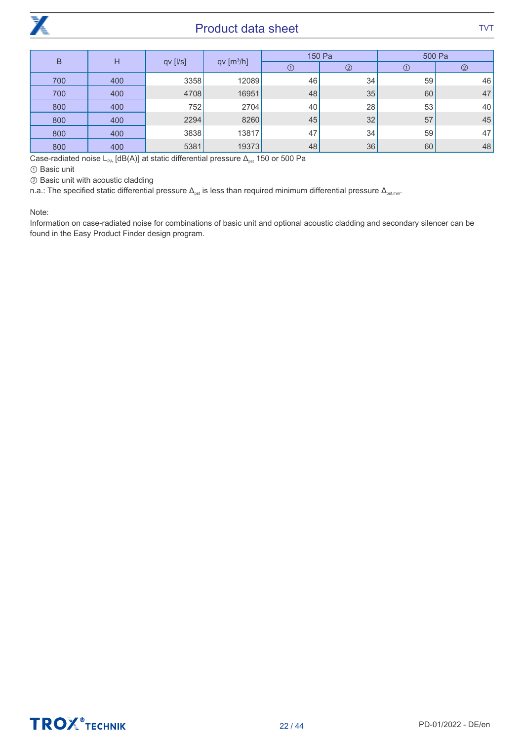

| B<br>Н |     |          |                        | 150 Pa | 500 Pa         |            |                |
|--------|-----|----------|------------------------|--------|----------------|------------|----------------|
|        |     | qv [l/s] | qv [m <sup>3</sup> /h] | ➀      | $^{\circledR}$ | $^{\circ}$ | $\circledcirc$ |
| 700    | 400 | 3358     | 12089                  | 46     | 34             | 59         | 46             |
| 700    | 400 | 4708     | 16951                  | 48     | 35             | 60         | 47             |
| 800    | 400 | 752      | 2704                   | 40     | 28             | 53         | 40             |
| 800    | 400 | 2294     | 8260                   | 45     | 32             | 57         | 45             |
| 800    | 400 | 3838     | 13817                  | 47     | 34             | 59         | 47             |
| 800    | 400 | 5381     | 19373                  | 48     | 36             | 60         | 48             |

Case-radiated noise L<sub>PA</sub> [dB(A)] at static differential pressure  $\Delta_{\text{pst}}$  150 or 500 Pa

① Basic unit

② Basic unit with acoustic cladding

n.a.: The specified static differential pressure  $\Delta_{\rm{pst}}$  is less than required minimum differential pressure  $\Delta_{\rm{pst,min}}$ .

Note:

Information on case-radiated noise for combinations of basic unit and optional acoustic cladding and secondary silencer can be found in the Easy Product Finder design program.

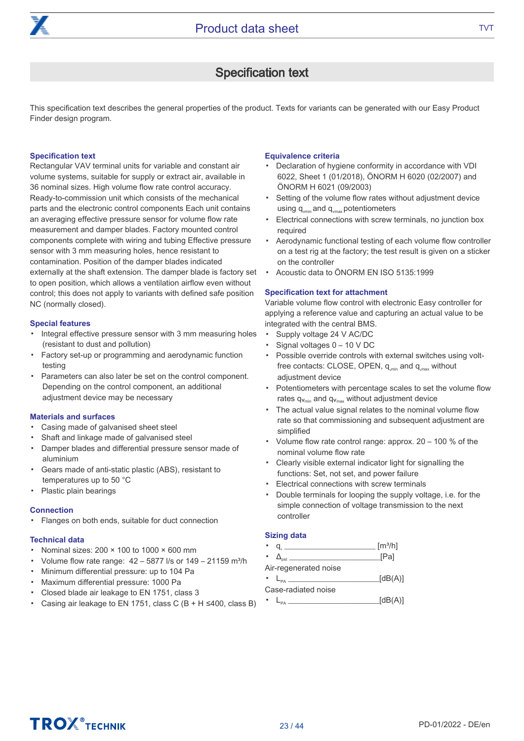

### Specification text

This specification text describes the general properties of the product. Texts for variants can be generated with our Easy Product Finder design program.

#### Specification text

Rectangular VAV terminal units for variable and constant air volume systems, suitable for supply or extract air, available in 36 nominal sizes. High volume flow rate control accuracy. Ready-to-commission unit which consists of the mechanical parts and the electronic control components Each unit contains an averaging effective pressure sensor for volume flow rate measurement and damper blades. Factory mounted control components complete with wiring and tubing Effective pressure sensor with 3 mm measuring holes, hence resistant to contamination. Position of the damper blades indicated externally at the shaft extension. The damper blade is factory set to open position, which allows a ventilation airflow even without control; this does not apply to variants with defined safe position NC (normally closed).

#### Special features

- Integral effective pressure sensor with 3 mm measuring holes (resistant to dust and pollution)
- Factory set-up or programming and aerodynamic function testing
- Parameters can also later be set on the control component. Depending on the control component, an additional adjustment device may be necessary

#### Materials and surfaces

- Casing made of galvanised sheet steel
- Shaft and linkage made of galvanised steel
- Damper blades and differential pressure sensor made of aluminium
- Gears made of anti-static plastic (ABS), resistant to temperatures up to 50 °C
- Plastic plain bearings

#### **Connection**

▪ Flanges on both ends, suitable for duct connection

#### Technical data

- Nominal sizes: 200 × 100 to 1000 × 600 mm
- Volume flow rate range:  $42 - 5877$  I/s or  $149 - 21159$  m<sup>3</sup>/h
- Minimum differential pressure: up to 104 Pa
- Maximum differential pressure: 1000 Pa
- Closed blade air leakage to EN 1751, class 3
- Casing air leakage to EN 1751, class C  $(B + H \le 400$ , class B)

#### Equivalence criteria

- Declaration of hygiene conformity in accordance with VDI 6022, Sheet 1 (01/2018), ÖNORM H 6020 (02/2007) and ÖNORM H 6021 (09/2003)
- Setting of the volume flow rates without adjustment device using  $q_{\text{vmin}}$  and  $q_{\text{vmax}}$  potentiometers
- Electrical connections with screw terminals, no junction box required
- Aerodynamic functional testing of each volume flow controller on a test rig at the factory; the test result is given on a sticker on the controller
- Acoustic data to ÖNORM EN ISO 5135:1999

#### Specification text for attachment

Variable volume flow control with electronic Easy controller for applying a reference value and capturing an actual value to be integrated with the central BMS.

- Supply voltage 24 V AC/DC
- Signal voltages 0 – 10 V DC
- Possible override controls with external switches using voltfree contacts: CLOSE, OPEN, q<sub>vmin</sub> and q<sub>vmax</sub> without adjustment device
- Potentiometers with percentage scales to set the volume flow rates  $q_{v_{min}}$  and  $q_{v_{max}}$  without adjustment device
- The actual value signal relates to the nominal volume flow rate so that commissioning and subsequent adjustment are simplified
- Volume flow rate control range: approx. 20 – 100 % of the nominal volume flow rate
- Clearly visible external indicator light for signalling the functions: Set, not set, and power failure
- Electrical connections with screw terminals
- Double terminals for looping the supply voltage, i.e. for the simple connection of voltage transmission to the next controller

#### Sizing data

▪

- $q_{\text{u}}$   $\frac{[m^3/h]}{[m^3/h]}$ 
	- $\Delta_{\text{net}}$  [Pa]
- Air-regenerated noise

#### $\blacksquare$   $\blacksquare$   $\blacksquare$  $[dB(A)]$ Case-radiated noise

 $\blacksquare$   $\blacksquare$   $\blacksquare$  $[dB(A)]$ 

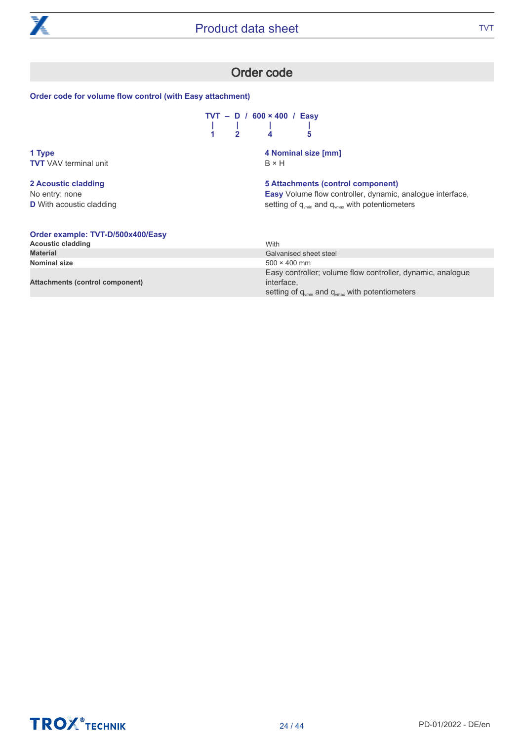

### Order code

#### Order code for volume flow control (with Easy attachment)

|  | $TVT - D / 600 \times 400 / Easy$ |   |
|--|-----------------------------------|---|
|  |                                   |   |
|  |                                   | Б |

**1 Type TVT** VAV terminal unit

**2 Acoustic cladding** No entry: none **D** With acoustic cladding **4 Nominal size [mm]** B × H

**5 Attachments (control component)** Easy Volume flow controller, dynamic, analogue interface, setting of  $q_{vmin}$  and  $q_{vmax}$  with potentiometers

#### Order example: TVT-D/500x400/Easy

| <b>Acoustic cladding</b>        | With                                                                                                                                             |
|---------------------------------|--------------------------------------------------------------------------------------------------------------------------------------------------|
| <b>Material</b>                 | Galvanised sheet steel                                                                                                                           |
| Nominal size                    | $500 \times 400$ mm                                                                                                                              |
| Attachments (control component) | Easy controller; volume flow controller, dynamic, analogue<br>interface.<br>setting of $q_{\text{min}}$ and $q_{\text{max}}$ with potentiometers |

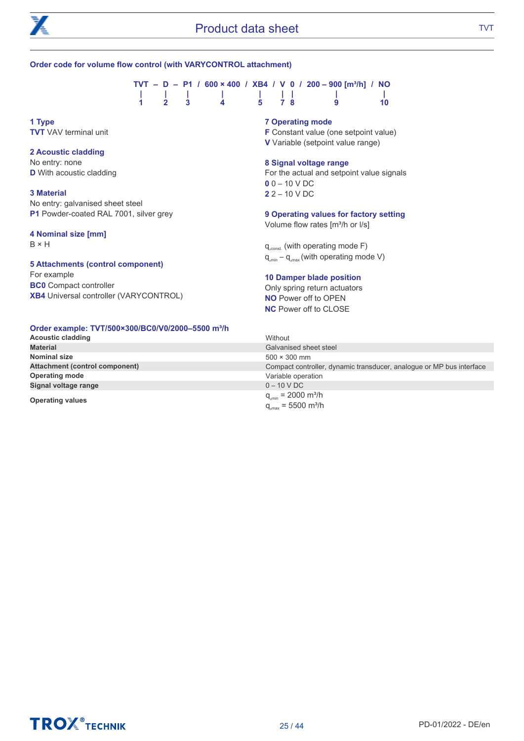

#### Order code for volume flow control (with VARYCONTROL attachment)

|                     |  |                |       |  | $TVT - D - P1 / 600 \times 400 / XB4 / V 0 / 200 - 900$ [m <sup>3</sup> /h] / NO |           |
|---------------------|--|----------------|-------|--|----------------------------------------------------------------------------------|-----------|
|                     |  |                |       |  |                                                                                  |           |
| $1 \quad 2 \quad 3$ |  | $\blacksquare$ | 5 7 8 |  | <b>g</b>                                                                         | <b>10</b> |

**1 Type TVT** VAV terminal unit

#### **2 Acoustic cladding**

No entry: none **D** With acoustic cladding

#### **3 Material**

No entry: galvanised sheet steel P1 Powder-coated RAL 7001, silver grey

#### **4 Nominal size [mm]**

B × H

#### **5 Attachments (control component)**

For example **BC0** Compact controller XB4 Universal controller (VARYCONTROL)

#### **Order example: TVT/500×300/BC0/V0/2000–5500 m³/h**

| <b>Acoustic cladding</b>              | Without                                                              |
|---------------------------------------|----------------------------------------------------------------------|
| <b>Material</b>                       | Galvanised sheet steel                                               |
| Nominal size                          | $500 \times 300$ mm                                                  |
| <b>Attachment (control component)</b> | Compact controller, dynamic transducer, analogue or MP bus interface |
| <b>Operating mode</b>                 | Variable operation                                                   |
| Signal voltage range                  | $0 - 10$ V DC                                                        |
| <b>Operating values</b>               | $q_{\text{win}} = 2000 \text{ m}^3/\text{h}$                         |
|                                       | $q_{\text{max}}$ = 5500 m <sup>3</sup> /h                            |

#### 7 Operating mode

F Constant value (one setpoint value) V Variable (setpoint value range)

#### 8 Signal voltage range

For the actual and setpoint value signals  $0 - 10 VDC$ 2 2 – 10 V DC

#### **9 Operating values for factory setting**

Volume flow rates [m<sup>3</sup>/h or l/s]

 $q_{\text{const}}$  (with operating mode F)  $q_{\text{win}} - q_{\text{max}}$  (with operating mode V)

#### **10 Damper blade position**

Only spring return actuators NO Power off to OPEN NC Power off to CLOSE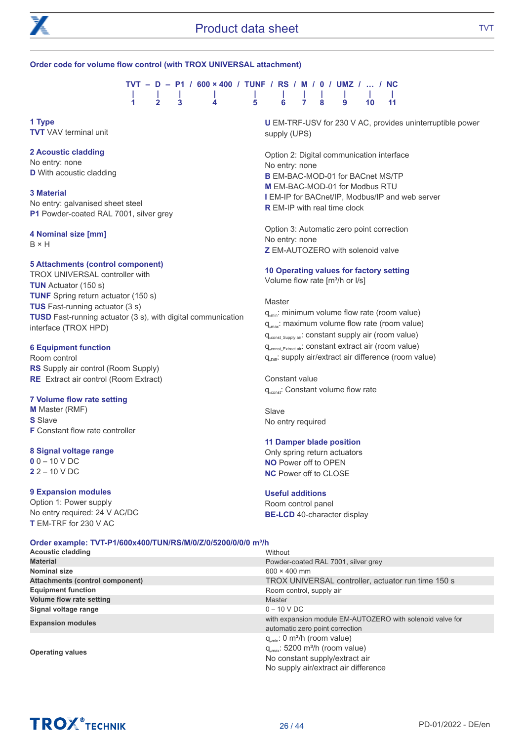

#### Order code for volume flow control (with TROX UNIVERSAL attachment)

|  |  | $TVT - D - P1 / 600 \times 400 / TUNF / RS / M / 0 / UMZ /  / NC$ |  |  |  |  |  |  |  |
|--|--|-------------------------------------------------------------------|--|--|--|--|--|--|--|
|  |  | .                                                                 |  |  |  |  |  |  |  |
|  |  | 1 2 3 4 5 6 7 8 9 10 11                                           |  |  |  |  |  |  |  |

**1 Type** TVT VAV terminal unit

#### **2 Acoustic cladding**

No entry: none **D** With acoustic cladding

#### **3 Material**

No entry: galvanised sheet steel P1 Powder-coated RAL 7001, silver grey

#### **4 Nominal size [mm]**

B × H

#### **5 Attachments (control component)**

TROX UNIVERSAL controller with TUN Actuator (150 s) TUNF Spring return actuator (150 s) TUS Fast-running actuator (3 s) TUSD Fast-running actuator (3 s), with digital communication interface (TROX HPD)

#### **6 Equipment function**

Room control RS Supply air control (Room Supply) RE Extract air control (Room Extract)

#### 7 Volume flow rate setting

M Master (RMF) **S** Slave F Constant flow rate controller

#### 8 Signal voltage range

 $0 - 10 V$  DC 2 2 – 10 V DC

#### 9 Expansion modules

Option 1: Power supply No entry required: 24 V AC/DC T EM-TRF for 230 V AC

U EM-TRF-USV for 230 V AC, provides uninterruptible power supply (UPS)

Option 2: Digital communication interface No entry: none B EM-BAC-MOD-01 for BACnet MS/TP M EM-BAC-MOD-01 for Modbus RTU I EM-IP for BACnet/IP, Modbus/IP and web server R EM-IP with real time clock

Option 3: Automatic zero point correction No entry: none Z EM-AUTOZERO with solenoid valve

#### **10 Operating values for factory setting**

Volume flow rate  $[m<sup>3</sup>/h$  or  $I/s]$ 

#### **Master**

q<sub>umin</sub>: minimum volume flow rate (room value) q<sub>umax</sub>: maximum volume flow rate (room value) q<sub>const Supply air</sub>: constant supply air (room value) qᵥconst\_Extract air: constant extract air (room value)  $q_{\text{Diff}}$ : supply air/extract air difference (room value)

Constant value q<sub>const</sub>: Constant volume flow rate

Slave No entry required

#### **11 Damper blade position**

Only spring return actuators NO Power off to OPEN NC Power off to CLOSE

#### Useful additions

Room control panel BE-LCD 40-character display

#### Order example: TVT-P1/600x400/TUN/RS/M/0/Z/0/5200/0/0/0 m<sup>3</sup>/h

| <b>Acoustic cladding</b>               | Without                                                                                      |
|----------------------------------------|----------------------------------------------------------------------------------------------|
| <b>Material</b>                        | Powder-coated RAL 7001, silver grey                                                          |
| Nominal size                           | $600 \times 400$ mm                                                                          |
| <b>Attachments (control component)</b> | TROX UNIVERSAL controller, actuator run time 150 s                                           |
| <b>Equipment function</b>              | Room control, supply air                                                                     |
| <b>Volume flow rate setting</b>        | Master                                                                                       |
| Signal voltage range                   | $0 - 10 VDC$                                                                                 |
| <b>Expansion modules</b>               | with expansion module EM-AUTOZERO with solenoid valve for<br>automatic zero point correction |
|                                        | $q_{min}$ : 0 m <sup>3</sup> /h (room value)                                                 |
| <b>Operating values</b>                | $q_{\text{max}}$ : 5200 m <sup>3</sup> /h (room value)                                       |
|                                        | No constant supply/extract air                                                               |
|                                        | No supply air/extract air difference                                                         |

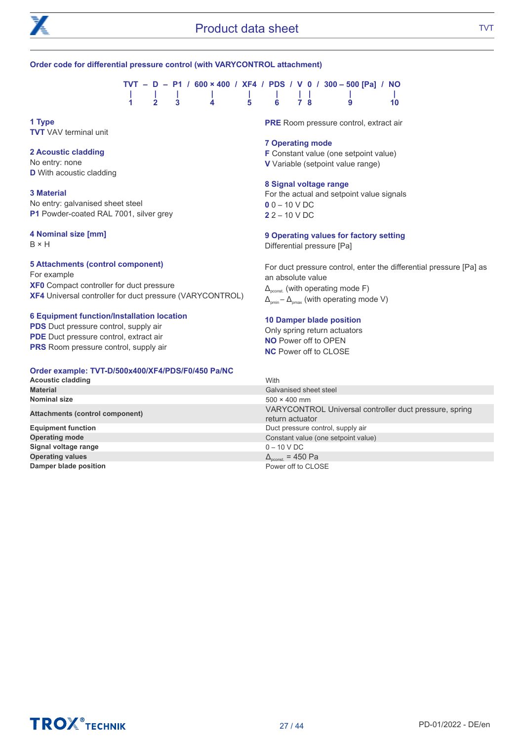

#### Order code for differential pressure control (with VARYCONTROL attachment)

|  |  |  |  |  |  |  | TVT - D - P1 / 600 × 400 / XF4 / PDS / V 0 / 300 - 500 [Pa] / NO |      |
|--|--|--|--|--|--|--|------------------------------------------------------------------|------|
|  |  |  |  |  |  |  |                                                                  |      |
|  |  |  |  |  |  |  | 1 2 3 4 5 6 7 8 9                                                | -10- |
|  |  |  |  |  |  |  |                                                                  |      |

**1 Type** TVT VAV terminal unit

#### **2 Acoustic cladding**

No entry: none **D** With acoustic cladding

#### **3 Material**

No entry: galvanised sheet steel P1 Powder-coated RAL 7001, silver grey

#### **4 Nominal size [mm]**

B × H

#### **5 Attachments (control component)** For example

XF0 Compact controller for duct pressure XF4 Universal controller for duct pressure (VARYCONTROL)

#### **6 Equipment function/Installation location**

**PDS** Duct pressure control, supply air PDE Duct pressure control, extract air PRS Room pressure control, supply air

#### Order example: TVT-D/500x400/XF4/PDS/F0/450 Pa/NC

#### **Acoustic cladding Material** Galvanised sheet steel and the control of the control of the control of the control of the control of the control of the control of the control of the control of the control of the control of the control of the Nominal size Attachments (control component) return actuator Equipment function **Operating mode** Signal voltage range **Operating values** Damper blade position **Damper blade position** Power off to CLOSE

PRE Room pressure control, extract air

#### 7 Operating mode

F Constant value (one setpoint value)

V Variable (setpoint value range)

#### 8 Signal voltage range

For the actual and setpoint value signals  $0 - 10 VDC$  $22 - 10 V$  DC

#### **9 Operating values for factory setting**

Differential pressure [Pa]

For duct pressure control, enter the differential pressure [Pa] as an absolute value  $\Delta_{\text{const}}$  (with operating mode F)  $\Delta_{pmin} - \Delta_{pmax}$  (with operating mode V)

#### **10 Damper blade position**

Only spring return actuators NO Power off to OPEN NC Power off to CLOSE

| . |                                                                           |
|---|---------------------------------------------------------------------------|
|   | With                                                                      |
|   | Galvanised sheet steel                                                    |
|   | $500 \times 400$ mm                                                       |
|   | VARYCONTROL Universal controller duct pressure, spring<br>return actuator |
|   | Duct pressure control, supply air                                         |
|   | Constant value (one setpoint value)                                       |
|   | $0 - 10 VDC$                                                              |
|   | $\Delta_{\text{pconst.}}$ = 450 Pa                                        |
|   | Power off to CLOSE                                                        |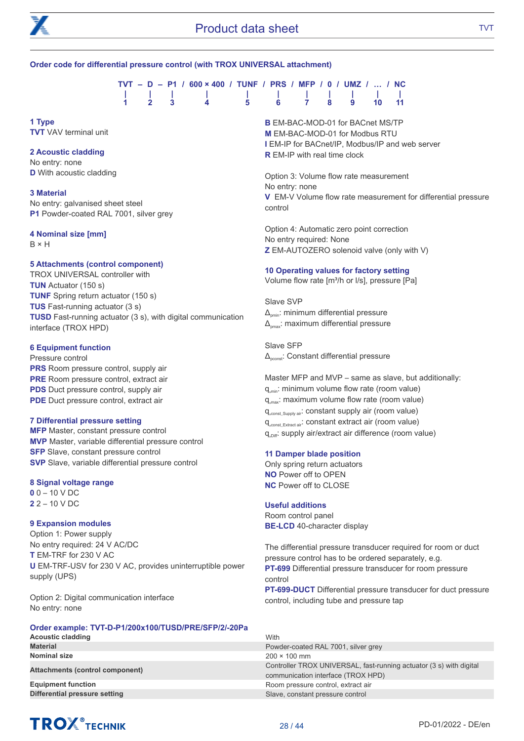

#### Order code for differential pressure control (with TROX UNIVERSAL attachment)

|  |  | $TVT - D - P1 / 600 \times 400 / TUNF / PRS / MFP / 0 / UMZ /  / NC$ |  |  |  |  |
|--|--|----------------------------------------------------------------------|--|--|--|--|
|  |  | .                                                                    |  |  |  |  |
|  |  | 1 2 3 4 5 6 7 8 9 10 11                                              |  |  |  |  |

**1 Type TVT** VAV terminal unit

#### **2 Acoustic cladding**

No entry: none **D** With acoustic cladding

#### **3 Material**

No entry: galvanised sheet steel P1 Powder-coated RAL 7001, silver grey

#### **4 Nominal size [mm]**

B × H

#### **5 Attachments (control component)**

TROX UNIVERSAL controller with TUN Actuator (150 s) TUNF Spring return actuator (150 s) TUS Fast-running actuator (3 s) TUSD Fast-running actuator (3 s), with digital communication interface (TROX HPD)

#### **6 Equipment function**

Pressure control **PRS** Room pressure control, supply air PRE Room pressure control, extract air PDS Duct pressure control, supply air PDE Duct pressure control, extract air

#### 7 Differential pressure setting

MFP Master, constant pressure control MVP Master, variable differential pressure control **SFP** Slave, constant pressure control SVP Slave, variable differential pressure control

#### 8 Signal voltage range

 $0 - 10$  V DC 2 2 – 10 V DC

#### 9 Expansion modules

Option 1: Power supply No entry required: 24 V AC/DC T EM-TRF for 230 V AC U EM-TRF-USV for 230 V AC, provides uninterruptible power supply (UPS)

Option 2: Digital communication interface No entry: none

#### Order example: TVT-D-P1/200x100/TUSD/PRE/SFP/2/-20Pa

Acoustic cladding New York 2012 19:00 New York 2012 19:00 New York 2012 19:00 New York 2013 Material Powder-coated RAL 7001, silver grey Nominal size 200 × 100 mm **Equipment function** Equipment function Room pressure control, extract air **Differential pressure setting Slave, Constant pressure control** 

**B EM-BAC-MOD-01 for BACnet MS/TP** M EM-BAC-MOD-01 for Modbus RTU I EM-IP for BACnet/IP, Modbus/IP and web server **R** EM-IP with real time clock

Option 3: Volume flow rate measurement No entry: none V EM-V Volume flow rate measurement for differential pressure control

Option 4: Automatic zero point correction No entry required: None Z EM-AUTOZERO solenoid valve (only with V)

#### **10 Operating values for factory setting**

Volume flow rate [m<sup>3</sup>/h or l/s], pressure [Pa]

Slave SVP  $\Delta_{\text{cmin}}$ : minimum differential pressure  $\Delta_{\text{max}}$ : maximum differential pressure

Slave SFP Δpconst: Constant differential pressure

Master MFP and MVP – same as slave, but additionally: q<sub>umin</sub>: minimum volume flow rate (room value)  $q_{\text{max}}$ : maximum volume flow rate (room value) q<sub>const</sub> Supply air: constant supply air (room value) q<sub>const Extract air</sub>: constant extract air (room value) q<sub>Diff</sub>: supply air/extract air difference (room value)

#### **11 Damper blade position**

Only spring return actuators NO Power off to OPEN NC Power off to CLOSE

#### Useful additions

Room control panel BE-LCD 40-character display

The differential pressure transducer required for room or duct pressure control has to be ordered separately, e.g. PT-699 Differential pressure transducer for room pressure control PT-699-DUCT Differential pressure transducer for duct pressure control, including tube and pressure tap

# Attachments (control component) Controller TROX UNIVERSAL, fast-running actuator (3 s) with digital communication interface (TROX HPD)

# **TROX** TECHNIK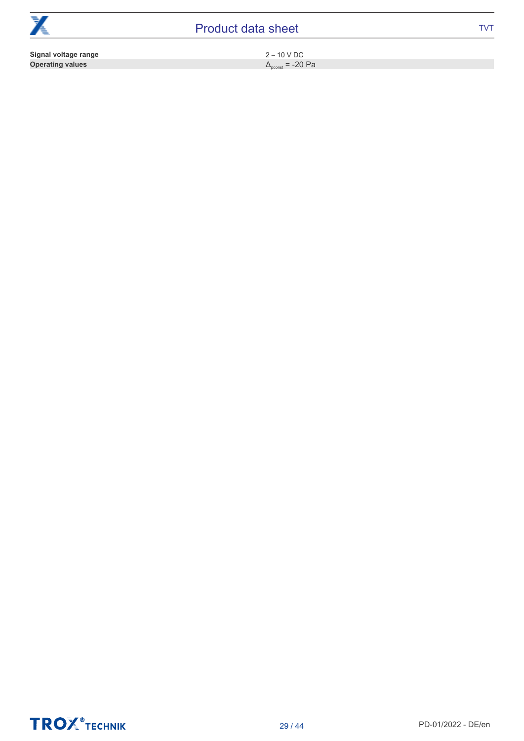| $\rightarrow$<br>∕€     | <b>Product data sheet</b>        | TVT |
|-------------------------|----------------------------------|-----|
| Signal voltage range    | $2 - 10$ V DC                    |     |
| <b>Operating values</b> | $\Delta_{\text{ocons}}$ = -20 Pa |     |

 $\Delta_{\text{pconst}}$  = -20 Pa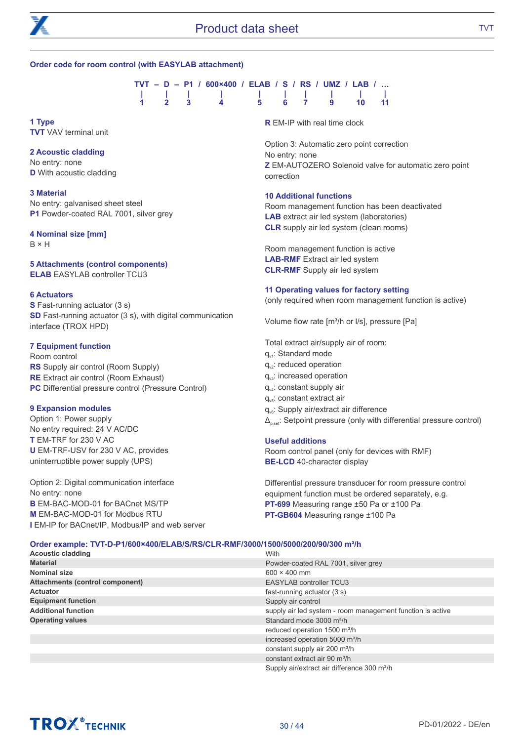

#### Order code for room control (with EASYLAB attachment)

|  |  | TVT - D - P1 / 600×400 / ELAB / S / RS / UMZ / LAB / |  |  |  |  |  |  |
|--|--|------------------------------------------------------|--|--|--|--|--|--|
|  |  | 1 1 1 1 1 1 1 1 1 1                                  |  |  |  |  |  |  |
|  |  | 1 2 3 4 5 6 7 9 10 11                                |  |  |  |  |  |  |

**1 Type** TVT VAV terminal unit

#### **2 Acoustic cladding**

No entry: none **D** With acoustic cladding

**3 Material** No entry: galvanised sheet steel P1 Powder-coated RAL 7001, silver grey

#### **4 Nominal size [mm]**

B × H

#### **5 Attachments (control components)** ELAB EASYLAB controller TCU3

#### 6 Actuators

S Fast-running actuator (3 s) SD Fast-running actuator (3 s), with digital communication interface (TROX HPD)

#### **7 Equipment function**

Room control RS Supply air control (Room Supply) RE Extract air control (Room Exhaust) PC Differential pressure control (Pressure Control)

#### **9 Expansion modules**

Option 1: Power supply No entry required: 24 V AC/DC T EM-TRF for 230 V AC U EM-TRF-USV for 230 V AC, provides uninterruptible power supply (UPS)

Option 2: Digital communication interface No entry: none B EM-BAC-MOD-01 for BACnet MS/TP M EM-BAC-MOD-01 for Modbus RTU I EM-IP for BACnet/IP, Modbus/IP and web server **R** EM-IP with real time clock

Option 3: Automatic zero point correction No entry: none Z EM-AUTOZERO Solenoid valve for automatic zero point correction

#### 10 Additional functions

Room management function has been deactivated LAB extract air led system (laboratories) CLR supply air led system (clean rooms)

Room management function is active LAB-RMF Extract air led system CLR-RMF Supply air led system

#### **11 Operating values for factory setting**

(only required when room management function is active)

Volume flow rate [m<sup>3</sup>/h or l/s], pressure [Pa]

Total extract air/supply air of room:

- q.: Standard mode
- q<sub>v2</sub>: reduced operation
- $q_{\nu 3}$ : increased operation
- $q_{\text{v4}}$ : constant supply air
- $q_{\text{vs}}$ : constant extract air
- q<sub>v6</sub>: Supply air/extract air difference

 $\Delta_{\text{best}}$ : Setpoint pressure (only with differential pressure control)

#### Useful additions

Room control panel (only for devices with RMF) BE-LCD 40-character display

Differential pressure transducer for room pressure control equipment function must be ordered separately, e.g. PT-699 Measuring range ±50 Pa or ±100 Pa PT-GB604 Measuring range ±100 Pa

| Order example: TVT-D-P1/600×400/ELAB/S/RS/CLR-RMF/3000/1500/5000/200/90/300 m <sup>3</sup> /h |                                                            |  |  |  |  |  |  |  |
|-----------------------------------------------------------------------------------------------|------------------------------------------------------------|--|--|--|--|--|--|--|
| <b>Acoustic cladding</b>                                                                      | With                                                       |  |  |  |  |  |  |  |
| <b>Material</b>                                                                               | Powder-coated RAL 7001, silver grey                        |  |  |  |  |  |  |  |
| Nominal size                                                                                  | $600 \times 400$ mm                                        |  |  |  |  |  |  |  |
| <b>Attachments (control component)</b>                                                        | <b>EASYLAB controller TCU3</b>                             |  |  |  |  |  |  |  |
| Actuator                                                                                      | fast-running actuator (3 s)                                |  |  |  |  |  |  |  |
| <b>Equipment function</b>                                                                     | Supply air control                                         |  |  |  |  |  |  |  |
| <b>Additional function</b>                                                                    | supply air led system - room management function is active |  |  |  |  |  |  |  |
| <b>Operating values</b>                                                                       | Standard mode 3000 m <sup>3</sup> /h                       |  |  |  |  |  |  |  |
|                                                                                               | reduced operation 1500 m <sup>3</sup> /h                   |  |  |  |  |  |  |  |
|                                                                                               | increased operation 5000 m <sup>3</sup> /h                 |  |  |  |  |  |  |  |
|                                                                                               | constant supply air 200 m <sup>3</sup> /h                  |  |  |  |  |  |  |  |
|                                                                                               | constant extract air 90 m <sup>3</sup> /h                  |  |  |  |  |  |  |  |
|                                                                                               | Supply air/extract air difference 300 m <sup>3</sup> /h    |  |  |  |  |  |  |  |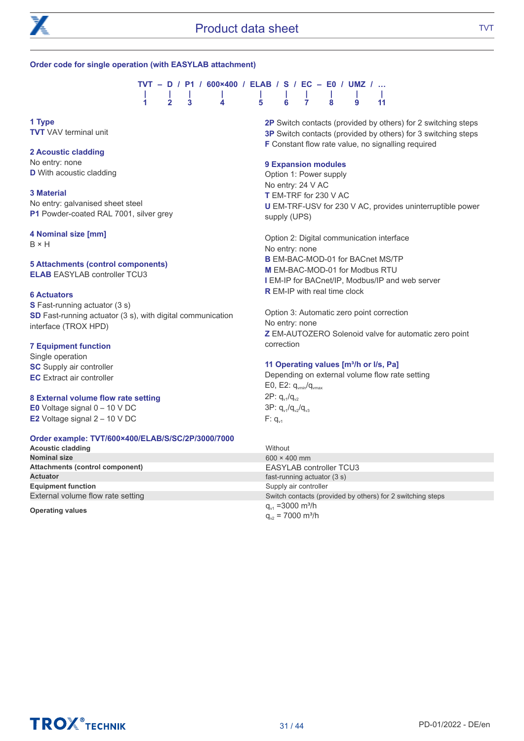

#### Order code for single operation (with EASYLAB attachment)



**1 Type** TVT VAV terminal unit

#### **2 Acoustic cladding**

No entry: none **D** With acoustic cladding

**3 Material** No entry: galvanised sheet steel P1 Powder-coated RAL 7001, silver grey

#### **4 Nominal size [mm]**

B × H

#### **5 Attachments (control components)** ELAB EASYLAB controller TCU3

#### 6 Actuators

S Fast-running actuator (3 s) SD Fast-running actuator (3 s), with digital communication interface (TROX HPD)

#### **7 Equipment function**

Single operation **SC** Supply air controller EC Extract air controller

#### 8 External volume flow rate setting

E0 Voltage signal 0 – 10 V DC E2 Voltage signal 2 – 10 V DC

#### Order example: TVT/600×400/ELAB/S/SC/2P/3000/7000

Acoustic cladding Without Northern Without Northern Without Northern Without Northern Without Northern Without<br>Northern Size 600 × 4 Attachments (control component)<br>
Actuator<br>
Actuator (3 s) **Equipment function** Supply air controller

2P Switch contacts (provided by others) for 2 switching steps 3P Switch contacts (provided by others) for 3 switching steps F Constant flow rate value, no signalling required

#### **9 Expansion modules**

Option 1: Power supply No entry: 24 V AC T EM-TRF for 230 V AC U EM-TRF-USV for 230 V AC, provides uninterruptible power supply (UPS)

Option 2: Digital communication interface No entry: none **B EM-BAC-MOD-01 for BACnet MS/TP** M EM-BAC-MOD-01 for Modbus RTU I EM-IP for BACnet/IP, Modbus/IP and web server **R** EM-IP with real time clock

Option 3: Automatic zero point correction No entry: none Z EM-AUTOZERO Solenoid valve for automatic zero point correction

#### 11 Operating values [m3/h or l/s, Pa]

Depending on external volume flow rate setting E0, E2:  $q_{\text{vmin}}/q_{\text{vmax}}$  $2P: q_{v1}/q_{v2}$  $3P: q_{v1}/q_{v2}/q_{v3}$  $F: q_{v1}$ 

 $600 \times 400$  mm fast-running actuator  $(3 s)$ External volume flow rate setting Switch contacts (provided by others) for 2 switching steps Operating values  $q_{\rm vt} = 3000 \text{ m}^3/h$  $q_{v2}$  = 7000 m<sup>3</sup>/h



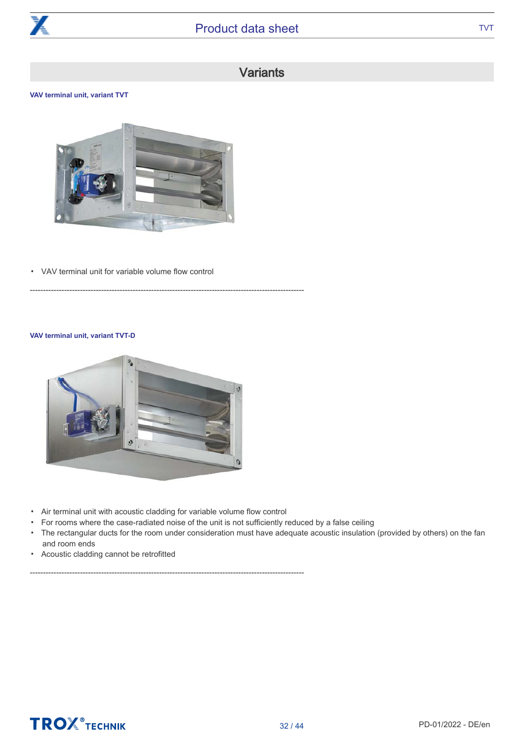

### **Variants**

#### **VAV terminal unit, variant TVT**



--------------------------------------------------------------------------------------------------------

▪ VAV terminal unit for variable volume flow control

#### **VAV terminal unit, variant TVT-D**



▪ Air terminal unit with acoustic cladding for variable volume flow control

--------------------------------------------------------------------------------------------------------

- For rooms where the case-radiated noise of the unit is not sufficiently reduced by a false ceiling
- The rectangular ducts for the room under consideration must have adequate acoustic insulation (provided by others) on the fan and room ends
- Acoustic cladding cannot be retrofitted

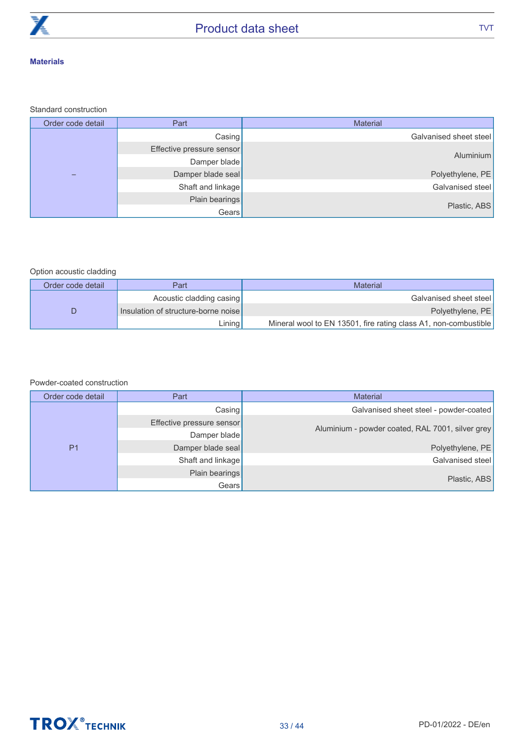

#### **Materials**

#### Standard construction

| Order code detail | Part                      | Material               |
|-------------------|---------------------------|------------------------|
|                   | Casing                    | Galvanised sheet steel |
|                   | Effective pressure sensor |                        |
|                   | Damper blade              | Aluminium              |
|                   | Damper blade seal         | Polyethylene, PE       |
|                   | Shaft and linkage         | Galvanised steel       |
|                   | Plain bearings            |                        |
|                   | Gears                     | Plastic, ABS           |

#### Option acoustic cladding

| Order code detail | Part                                | <b>Material</b>                                                 |
|-------------------|-------------------------------------|-----------------------------------------------------------------|
|                   | Acoustic cladding casing            | Galvanised sheet steel                                          |
|                   | Insulation of structure-borne noise | Polyethylene, PE                                                |
|                   | Lining <b>I</b>                     | Mineral wool to EN 13501, fire rating class A1, non-combustible |

#### Powder-coated construction

| Order code detail | Part                      | <b>Material</b>                                  |
|-------------------|---------------------------|--------------------------------------------------|
|                   | Casing                    | Galvanised sheet steel - powder-coated           |
|                   | Effective pressure sensor |                                                  |
|                   | Damper blade              | Aluminium - powder coated, RAL 7001, silver grey |
| P <sub>1</sub>    | Damper blade seal         | Polyethylene, PE                                 |
|                   | Shaft and linkage         | Galvanised steel                                 |
|                   | Plain bearings            |                                                  |
|                   | Gears                     | Plastic, ABS                                     |

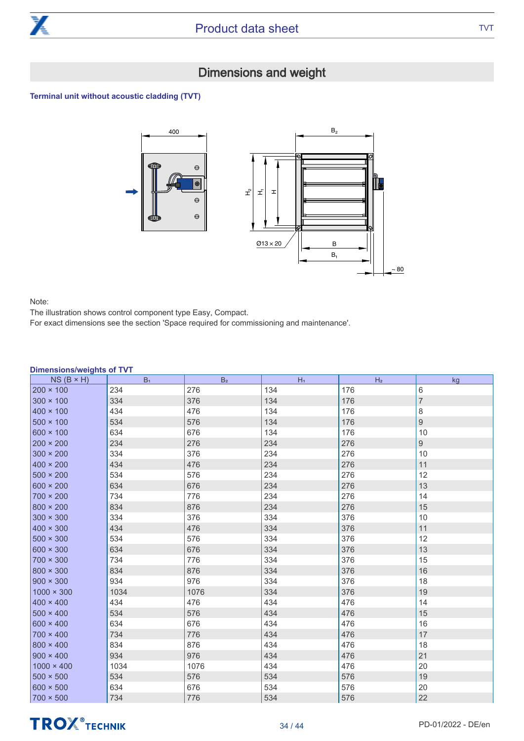

### Dimensions and weight

#### Terminal unit without acoustic cladding (TVT)



Note:

The illustration shows control component type Easy, Compact.

For exact dimensions see the section 'Space required for commissioning and maintenance'.

| ו ט ווי ווישן/פווטופווטוע<br>$NS(B \times H)$ | B <sub>1</sub> | B <sub>2</sub> | $H_1$ | H <sub>2</sub> | kg             |
|-----------------------------------------------|----------------|----------------|-------|----------------|----------------|
| $200 \times 100$                              | 234            | 276            | 134   | 176            | 6              |
| $300 \times 100$                              | 334            | 376            | 134   | 176            | $\overline{7}$ |
| $400 \times 100$                              | 434            | 476            | 134   | 176            | 8              |
| $500 \times 100$                              | 534            | 576            | 134   | 176            | 9              |
| $600 \times 100$                              | 634            | 676            | 134   | 176            | 10             |
| $200 \times 200$                              | 234            | 276            | 234   | 276            | 9              |
| $300 \times 200$                              | 334            | 376            | 234   | 276            | 10             |
| $400 \times 200$                              | 434            | 476            | 234   | 276            | 11             |
| $500 \times 200$                              | 534            | 576            | 234   | 276            | 12             |
| $600 \times 200$                              | 634            | 676            | 234   | 276            | 13             |
| $700 \times 200$                              | 734            | 776            | 234   | 276            | 14             |
| $800 \times 200$                              | 834            | 876            | 234   | 276            | 15             |
| $300 \times 300$                              | 334            | 376            | 334   | 376            | 10             |
| $400 \times 300$                              | 434            | 476            | 334   | 376            | 11             |
| $500 \times 300$                              | 534            | 576            | 334   | 376            | 12             |
| $600 \times 300$                              | 634            | 676            | 334   | 376            | 13             |
| $700 \times 300$                              | 734            | 776            | 334   | 376            | 15             |
| $800 \times 300$                              | 834            | 876            | 334   | 376            | 16             |
| $900 \times 300$                              | 934            | 976            | 334   | 376            | 18             |
| $1000 \times 300$                             | 1034           | 1076           | 334   | 376            | 19             |
| $400 \times 400$                              | 434            | 476            | 434   | 476            | 14             |
| $500 \times 400$                              | 534            | 576            | 434   | 476            | 15             |
| $600 \times 400$                              | 634            | 676            | 434   | 476            | 16             |
| $700 \times 400$                              | 734            | 776            | 434   | 476            | 17             |
| $800 \times 400$                              | 834            | 876            | 434   | 476            | 18             |
| $900 \times 400$                              | 934            | 976            | 434   | 476            | 21             |
| $1000 \times 400$                             | 1034           | 1076           | 434   | 476            | 20             |
| $500 \times 500$                              | 534            | 576            | 534   | 576            | 19             |
| $600 \times 500$                              | 634            | 676            | 534   | 576            | 20             |
| $700 \times 500$                              | 734            | 776            | 534   | 576            | 22             |

#### Dimensions/weights of TVT

# **TROX** TECHNIK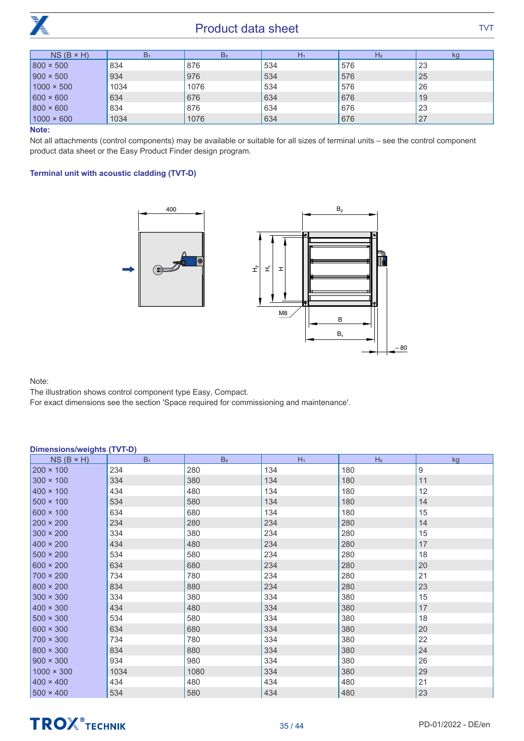

| $NS(B \times H)$  | B <sub>1</sub> | B <sub>2</sub> | $H_1$ | H <sub>2</sub> | kg |
|-------------------|----------------|----------------|-------|----------------|----|
| $800 \times 500$  | 834            | 876            | 534   | 576            | 23 |
| $900 \times 500$  | 934            | 976            | 534   | 576            | 25 |
| $1000 \times 500$ | 1034           | 1076           | 534   | 576            | 26 |
| $600 \times 600$  | 634            | 676            | 634   | 676            | 19 |
| $800 \times 600$  | 834            | 876            | 634   | 676            | 23 |
| $1000 \times 600$ | 1034           | 1076           | 634   | 676            | 27 |

Note:

Not all attachments (control components) may be available or suitable for all sizes of terminal units – see the control component product data sheet or the Easy Product Finder design program.

#### Terminal unit with acoustic cladding (TVT-D)



Note:

The illustration shows control component type Easy, Compact.

For exact dimensions see the section 'Space required for commissioning and maintenance'.

| <b>Dimensions/weights (TVT-D)</b> |                |                |       |                |    |  |
|-----------------------------------|----------------|----------------|-------|----------------|----|--|
| $NS(B \times H)$                  | B <sub>1</sub> | B <sub>2</sub> | $H_1$ | H <sub>2</sub> | kg |  |
| $200 \times 100$                  | 234            | 280            | 134   | 180            | 9  |  |
| $300 \times 100$                  | 334            | 380            | 134   | 180            | 11 |  |
| $400 \times 100$                  | 434            | 480            | 134   | 180            | 12 |  |
| $500 \times 100$                  | 534            | 580            | 134   | 180            | 14 |  |
| $600 \times 100$                  | 634            | 680            | 134   | 180            | 15 |  |
| $200 \times 200$                  | 234            | 280            | 234   | 280            | 14 |  |
| $300 \times 200$                  | 334            | 380            | 234   | 280            | 15 |  |
| $400 \times 200$                  | 434            | 480            | 234   | 280            | 17 |  |
| $500 \times 200$                  | 534            | 580            | 234   | 280            | 18 |  |
| $600 \times 200$                  | 634            | 680            | 234   | 280            | 20 |  |
| $700 \times 200$                  | 734            | 780            | 234   | 280            | 21 |  |
| $800 \times 200$                  | 834            | 880            | 234   | 280            | 23 |  |
| $300 \times 300$                  | 334            | 380            | 334   | 380            | 15 |  |
| $400 \times 300$                  | 434            | 480            | 334   | 380            | 17 |  |
| $500 \times 300$                  | 534            | 580            | 334   | 380            | 18 |  |
| $600 \times 300$                  | 634            | 680            | 334   | 380            | 20 |  |
| $700 \times 300$                  | 734            | 780            | 334   | 380            | 22 |  |
| $800 \times 300$                  | 834            | 880            | 334   | 380            | 24 |  |
| $900 \times 300$                  | 934            | 980            | 334   | 380            | 26 |  |
| $1000 \times 300$                 | 1034           | 1080           | 334   | 380            | 29 |  |
| $400 \times 400$                  | 434            | 480            | 434   | 480            | 21 |  |
| $500 \times 400$                  | 534            | 580            | 434   | 480            | 23 |  |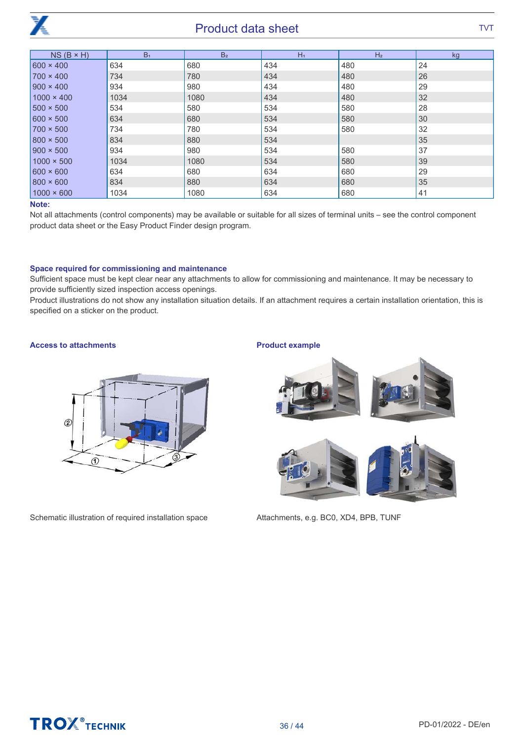

| $NS(B \times H)$  | B <sub>1</sub> | B <sub>2</sub> | $H_1$ | H <sub>2</sub> | kg              |
|-------------------|----------------|----------------|-------|----------------|-----------------|
| $600 \times 400$  | 634            | 680            | 434   | 480            | 24              |
| $700 \times 400$  | 734            | 780            | 434   | 480            | 26              |
| $900 \times 400$  | 934            | 980            | 434   | 480            | 29              |
| $1000 \times 400$ | 1034           | 1080           | 434   | 480            | 32 <sup>°</sup> |
| $1500 \times 500$ | 534            | 580            | 534   | 580            | 28              |
| $600 \times 500$  | 634            | 680            | 534   | 580            | 30              |
| $1700 \times 500$ | 734            | 780            | 534   | 580            | 32              |
| $800 \times 500$  | 834            | 880            | 534   |                | 35              |
| $900 \times 500$  | 934            | 980            | 534   | 580            | 37              |
| $1000 \times 500$ | 1034           | 1080           | 534   | 580            | 39              |
| $600 \times 600$  | 634            | 680            | 634   | 680            | 29              |
| $800 \times 600$  | 834            | 880            | 634   | 680            | 35              |
| $1000 \times 600$ | 1034           | 1080           | 634   | 680            | 41              |

#### Note:

Not all attachments (control components) may be available or suitable for all sizes of terminal units – see the control component product data sheet or the Easy Product Finder design program.

#### Space required for commissioning and maintenance

Sufficient space must be kept clear near any attachments to allow for commissioning and maintenance. It may be necessary to provide sufficiently sized inspection access openings.

Product illustrations do not show any installation situation details. If an attachment requires a certain installation orientation, this is specified on a sticker on the product.

#### Access to attachments



Schematic illustration of required installation space

#### Product example



Attachments, e.g. BC0, XD4, BPB, TUNF

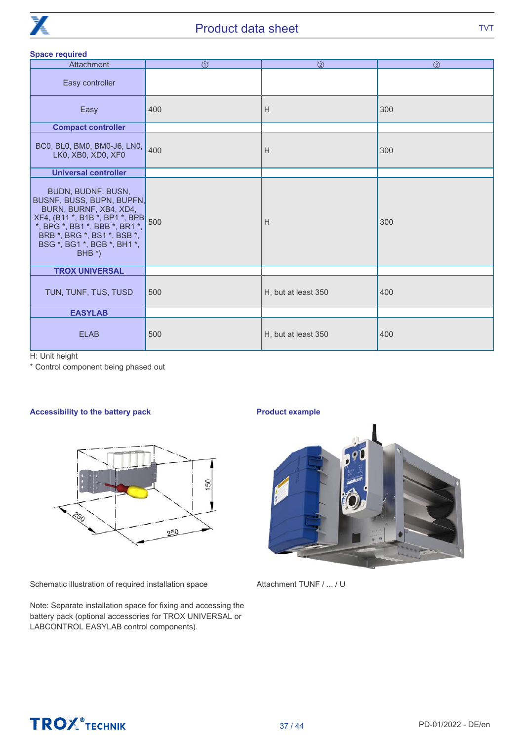

#### Space required

| $\bigcirc$                                                      | (2)                 | $\circled{3}$ |
|-----------------------------------------------------------------|---------------------|---------------|
|                                                                 |                     |               |
| 400                                                             | H                   | 300           |
|                                                                 |                     |               |
| 400                                                             | Н                   | 300           |
|                                                                 |                     |               |
| BUSNF, BUSS, BUPN, BUPFN,<br>XF4, (B11 *, B1B *, BP1 *, BPB 500 | H                   | 300           |
|                                                                 |                     |               |
| 500                                                             | H, but at least 350 | 400           |
|                                                                 |                     |               |
| 500                                                             | H, but at least 350 | 400           |
|                                                                 |                     |               |

H: Unit height

\* Control component being phased out

#### Accessibility to the battery pack



Schematic illustration of required installation space

Note: Separate installation space for fixing and accessing the battery pack (optional accessories for TROX UNIVERSAL or LABCONTROL EASYLAB control components).

#### Product example



Attachment TUNF / ... / U



# **TROX** TECHNIK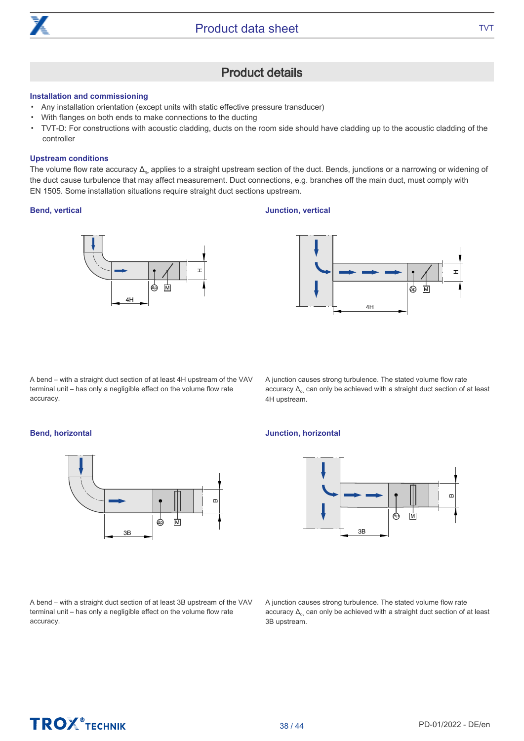

### Product details

#### Installation and commissioning

- Any installation orientation (except units with static effective pressure transducer)
- With flanges on both ends to make connections to the ducting
- TVT-D: For constructions with acoustic cladding, ducts on the room side should have cladding up to the acoustic cladding of the controller

#### Upstream conditions

The volume flow rate accuracy  $\Delta_{\omega}$  applies to a straight upstream section of the duct. Bends, junctions or a narrowing or widening of the duct cause turbulence that may affect measurement. Duct connections, e.g. branches off the main duct, must comply with EN 1505. Some installation situations require straight duct sections upstream.

#### Bend, vertical

#### Junction, vertical





A bend – with a straight duct section of at least 4H upstream of the VAV terminal unit – has only a negligible effect on the volume flow rate accuracy.

A junction causes strong turbulence. The stated volume flow rate accuracy  $\Delta_{\alpha}$  can only be achieved with a straight duct section of at least 4H upstream.

#### Bend, horizontal



A bend – with a straight duct section of at least 3B upstream of the VAV terminal unit – has only a negligible effect on the volume flow rate accuracy.

#### Junction, horizontal



A junction causes strong turbulence. The stated volume flow rate accuracy  $\Delta_{\alpha}$  can only be achieved with a straight duct section of at least 3B upstream.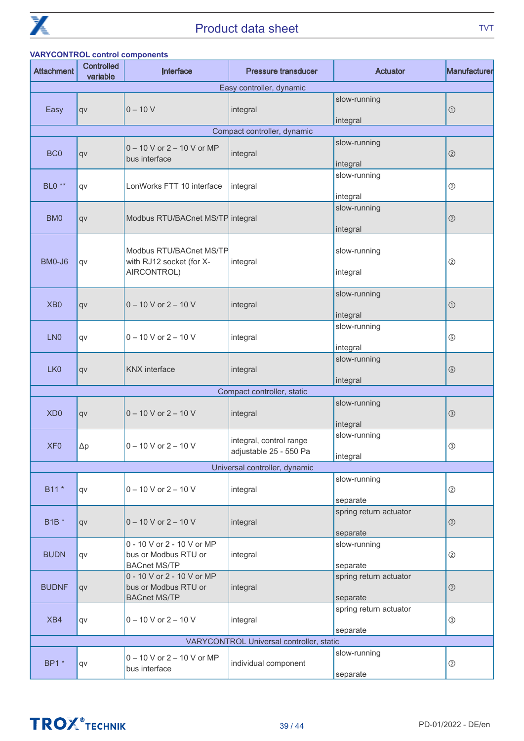

|                   | <b>VARYCONTROL control components</b> |                                                                           |                                                   |                                    |                |  |  |  |
|-------------------|---------------------------------------|---------------------------------------------------------------------------|---------------------------------------------------|------------------------------------|----------------|--|--|--|
| <b>Attachment</b> | <b>Controlled</b><br>variable         | Interface                                                                 | <b>Pressure transducer</b>                        | <b>Actuator</b>                    | Manufacturer   |  |  |  |
|                   |                                       |                                                                           | Easy controller, dynamic                          |                                    |                |  |  |  |
| Easy              | qv                                    | $0 - 10 V$                                                                | integral                                          | slow-running<br>integral           | $\odot$        |  |  |  |
|                   |                                       |                                                                           | Compact controller, dynamic                       |                                    |                |  |  |  |
| BC <sub>0</sub>   | qv                                    | $0 - 10$ V or $2 - 10$ V or MP<br>bus interface                           | integral                                          | slow-running<br>integral           | $\circledS$    |  |  |  |
| <b>BLO</b> **     | qv                                    | LonWorks FTT 10 interface                                                 | integral                                          | slow-running<br>integral           | ②              |  |  |  |
| BM <sub>0</sub>   | qv                                    | Modbus RTU/BACnet MS/TP integral                                          |                                                   | slow-running<br>integral           | $\circledcirc$ |  |  |  |
| BM0-J6            | qv                                    | Modbus RTU/BACnet MS/TP<br>with RJ12 socket (for X-<br>AIRCONTROL)        | integral                                          | slow-running<br>integral           | $^{\circledR}$ |  |  |  |
| X <sub>B</sub> 0  | qv                                    | $0 - 10$ V or $2 - 10$ V                                                  | integral                                          | slow-running<br>integral           | $\odot$        |  |  |  |
| LN <sub>0</sub>   | qv                                    | $0 - 10$ V or $2 - 10$ V                                                  | integral                                          | slow-running<br>integral           | $\circledS$    |  |  |  |
| LK <sub>0</sub>   | qv                                    | <b>KNX</b> interface                                                      | integral                                          | slow-running<br>integral           | $\circledS$    |  |  |  |
|                   |                                       |                                                                           | Compact controller, static                        |                                    |                |  |  |  |
| XD <sub>0</sub>   | qv                                    | $0 - 10$ V or $2 - 10$ V                                                  | integral                                          | slow-running<br>integral           | $\circledS$    |  |  |  |
| XF <sub>0</sub>   | $\Delta p$                            | $0 - 10$ V or $2 - 10$ V                                                  | integral, control range<br>adjustable 25 - 550 Pa | slow-running<br>integral           | $\circled{3}$  |  |  |  |
|                   |                                       |                                                                           | Universal controller, dynamic                     |                                    |                |  |  |  |
| B11 *             | qv                                    | $0 - 10$ V or $2 - 10$ V                                                  | integral                                          | slow-running<br>separate           | $^{\circledR}$ |  |  |  |
| <b>B1B</b> *      | qv                                    | $0 - 10$ V or $2 - 10$ V                                                  | integral                                          | spring return actuator<br>separate | $\circledS$    |  |  |  |
| <b>BUDN</b>       | qv                                    | 0 - 10 V or 2 - 10 V or MP<br>bus or Modbus RTU or<br><b>BACnet MS/TP</b> | integral                                          | slow-running<br>separate           | $^{\circledR}$ |  |  |  |
| <b>BUDNF</b>      | qv                                    | 0 - 10 V or 2 - 10 V or MP<br>bus or Modbus RTU or<br><b>BACnet MS/TP</b> | integral                                          | spring return actuator<br>separate | $\circledcirc$ |  |  |  |
| XB4               | qv                                    | $0 - 10$ V or $2 - 10$ V                                                  | integral                                          | spring return actuator<br>separate | ③              |  |  |  |
|                   |                                       |                                                                           | VARYCONTROL Universal controller, static          |                                    |                |  |  |  |
| BP1 *             | qv                                    | 0 - 10 V or 2 - 10 V or MP<br>bus interface                               | individual component                              | slow-running<br>separate           | ②              |  |  |  |

# **TROX** TECHNIK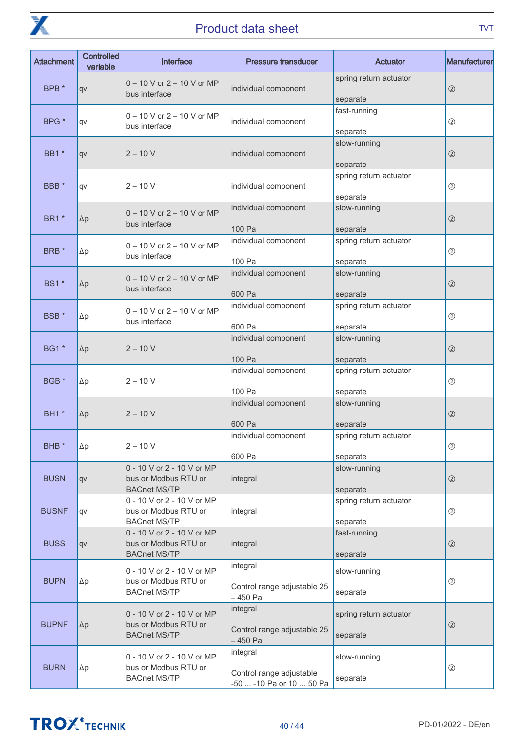

| <b>Attachment</b> | <b>Controlled</b><br>variable | Interface                                                                 | <b>Pressure transducer</b>                                       | Actuator                           | Manufacturer   |
|-------------------|-------------------------------|---------------------------------------------------------------------------|------------------------------------------------------------------|------------------------------------|----------------|
| BPB *             | qv                            | $0 - 10$ V or $2 - 10$ V or MP<br>bus interface                           | individual component                                             | spring return actuator<br>separate | $\circledcirc$ |
| BPG <sup>*</sup>  | qv                            | $0 - 10$ V or $2 - 10$ V or MP<br>bus interface                           | individual component                                             | fast-running<br>separate           | ②              |
| <b>BB1</b> *      | qv                            | $2 - 10V$                                                                 | individual component                                             | slow-running<br>separate           | $^{\circledR}$ |
| BBB <sup>*</sup>  | qv                            | $2 - 10 V$                                                                | individual component                                             | spring return actuator<br>separate | $^{\circledR}$ |
| <b>BR1</b> *      | $\Delta p$                    | $0 - 10$ V or $2 - 10$ V or MP<br>bus interface                           | individual component<br>100 Pa                                   | slow-running<br>separate           | $\circledcirc$ |
| BRB <sup>*</sup>  | $\Delta p$                    | $0 - 10$ V or $2 - 10$ V or MP<br>bus interface                           | individual component<br>100 Pa                                   | spring return actuator<br>separate | $^{\circledR}$ |
| <b>BS1</b> *      | $\Delta p$                    | $0 - 10$ V or $2 - 10$ V or MP<br>bus interface                           | individual component<br>600 Pa                                   | slow-running<br>separate           | $\circledcirc$ |
| BSB <sup>*</sup>  | $\Delta p$                    | $0 - 10$ V or $2 - 10$ V or MP<br>bus interface                           | individual component<br>600 Pa                                   | spring return actuator<br>separate | $^{\circledR}$ |
| <b>BG1</b> *      | $\Delta p$                    | $2 - 10V$                                                                 | individual component<br>100 Pa                                   | slow-running<br>separate           | $\circledcirc$ |
| BGB *             | $\Delta p$                    | $2 - 10 V$                                                                | individual component<br>100 Pa                                   | spring return actuator<br>separate | ②              |
| <b>BH1</b> *      | $\Delta p$                    | $2 - 10V$                                                                 | individual component<br>600 Pa                                   | slow-running<br>separate           | $\circledcirc$ |
| BHB <sup>*</sup>  | $\Delta p$                    | $2 - 10 V$                                                                | individual component<br>600 Pa                                   | spring return actuator<br>separate | ②              |
| <b>BUSN</b>       | qv                            | 0 - 10 V or 2 - 10 V or MP<br>bus or Modbus RTU or<br><b>BACnet MS/TP</b> | integral                                                         | slow-running<br>separate           | $\circledcirc$ |
| <b>BUSNF</b>      | qv                            | 0 - 10 V or 2 - 10 V or MP<br>bus or Modbus RTU or<br><b>BACnet MS/TP</b> | integral                                                         | spring return actuator<br>separate | $^{\circledR}$ |
| <b>BUSS</b>       | qv                            | 0 - 10 V or 2 - 10 V or MP<br>bus or Modbus RTU or<br><b>BACnet MS/TP</b> | integral                                                         | fast-running<br>separate           | $\circledcirc$ |
| <b>BUPN</b>       | $\Delta p$                    | 0 - 10 V or 2 - 10 V or MP<br>bus or Modbus RTU or<br><b>BACnet MS/TP</b> | integral<br>Control range adjustable 25<br>-450 Pa               | slow-running<br>separate           | ②              |
| <b>BUPNF</b>      | $\Delta p$                    | 0 - 10 V or 2 - 10 V or MP<br>bus or Modbus RTU or<br><b>BACnet MS/TP</b> | integral<br>Control range adjustable 25<br>-450 Pa               | spring return actuator<br>separate | $\circledcirc$ |
| <b>BURN</b>       | $\Delta p$                    | 0 - 10 V or 2 - 10 V or MP<br>bus or Modbus RTU or<br><b>BACnet MS/TP</b> | integral<br>Control range adjustable<br>-50  -10 Pa or 10  50 Pa | slow-running<br>separate           | ②              |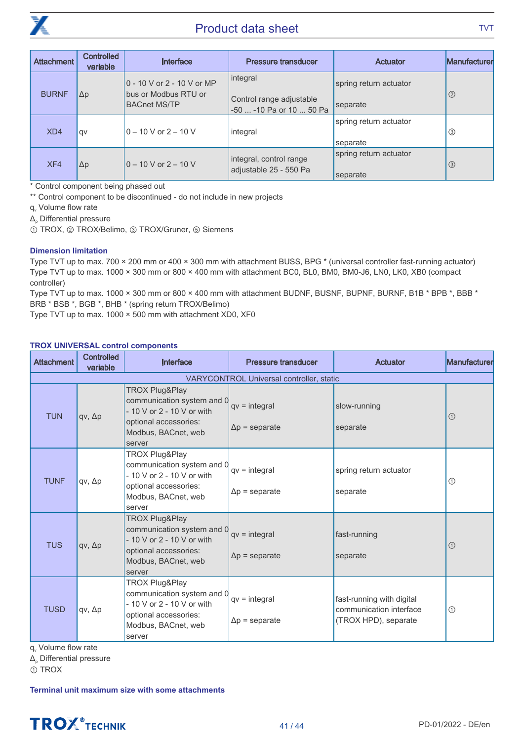

| Attachment   | <b>Controlled</b><br>variable | Interface                                          | <b>Pressure transducer</b>           | Actuator               | Manufacturer   |
|--------------|-------------------------------|----------------------------------------------------|--------------------------------------|------------------------|----------------|
| <b>BURNF</b> | $\Delta p$                    | 0 - 10 V or 2 - 10 V or MP<br>bus or Modbus RTU or | integral<br>Control range adjustable | spring return actuator | $\circledcirc$ |
|              |                               | <b>BACnet MS/TP</b>                                | -50  -10 Pa or 10  50 Pa             | separate               |                |
|              |                               |                                                    |                                      | spring return actuator |                |
| XD4          | <b>qv</b>                     | $0 - 10$ V or 2 – 10 V                             | integral                             | separate               | $\circledS$    |
|              |                               |                                                    | integral, control range              | spring return actuator |                |
| XF4          | $\Delta p$                    | $0 - 10$ V or 2 – 10 V                             | adjustable 25 - 550 Pa               | separate               | $\circ$        |

\* Control component being phased out

\*\* Control component to be discontinued - do not include in new projects

q. Volume flow rate

 $\Delta$ <sub>p</sub> Differential pressure

① TROX, ② TROX/Belimo, ③ TROX/Gruner, ⑤ Siemens

#### Dimension limitation

Type TVT up to max. 700 × 200 mm or 400 × 300 mm with attachment BUSS, BPG \* (universal controller fast-running actuator) Type TVT up to max. 1000 × 300 mm or 800 × 400 mm with attachment BC0, BL0, BM0, BM0-J6, LN0, LK0, XB0 (compact controller)

Type TVT up to max. 1000 × 300 mm or 800 × 400 mm with attachment BUDNF, BUSNF, BUPNF, BURNF, B1B \* BPB \*, BBB \* BRB \* BSB \*, BGB \*, BHB \* (spring return TROX/Belimo)

Type TVT up to max. 1000 × 500 mm with attachment XD0, XF0

#### TROX UNIVERSAL control components

| <b>Attachment</b>       | <b>Controlled</b><br>variable | Interface                                                                                                                                       | <b>Pressure transducer</b>                      | <b>Actuator</b>                                                              | Manufacturer   |
|-------------------------|-------------------------------|-------------------------------------------------------------------------------------------------------------------------------------------------|-------------------------------------------------|------------------------------------------------------------------------------|----------------|
|                         |                               |                                                                                                                                                 | <b>VARYCONTROL Universal controller, static</b> |                                                                              |                |
| <b>TUN</b>              | $qv, \Delta p$                | TROX Plug&Play<br>communication system and 0<br>- 10 V or 2 - 10 V or with<br>optional accessories:<br>Modbus, BACnet, web<br>server            | $qv = integral$<br>$\Delta p$ = separate        | slow-running<br>separate                                                     | $\circledcirc$ |
| <b>TUNF</b>             | $qv, \Delta p$                | TROX Plug&Play<br>communication system and 0<br>- 10 V or 2 - 10 V or with<br>optional accessories:<br>Modbus, BACnet, web<br>server            | $qv = integral$<br>$\Delta p$ = separate        | spring return actuator<br>separate                                           | $^{\circledR}$ |
| <b>TUS</b>              | $qv, \Delta p$                | <b>TROX Plug&amp;Play</b><br>communication system and 0<br>- 10 V or 2 - 10 V or with<br>optional accessories:<br>Modbus, BACnet, web<br>server | $qv = integral$<br>$\Delta p$ = separate        | fast-running<br>separate                                                     | $\odot$        |
| <b>TUSD</b><br>$\cdots$ | $qv, \Delta p$                | TROX Plug&Play<br>communication system and 0<br>$-10$ V or 2 - 10 V or with<br>optional accessories:<br>Modbus, BACnet, web<br>server           | $qv = integral$<br>$\Delta p$ = separate        | fast-running with digital<br>communication interface<br>(TROX HPD), separate | $\odot$        |

q<sub>v</sub> Volume flow rate

 $\Delta$ <sub>p</sub> Differential pressure

① TROX

Terminal unit maximum size with some attachments

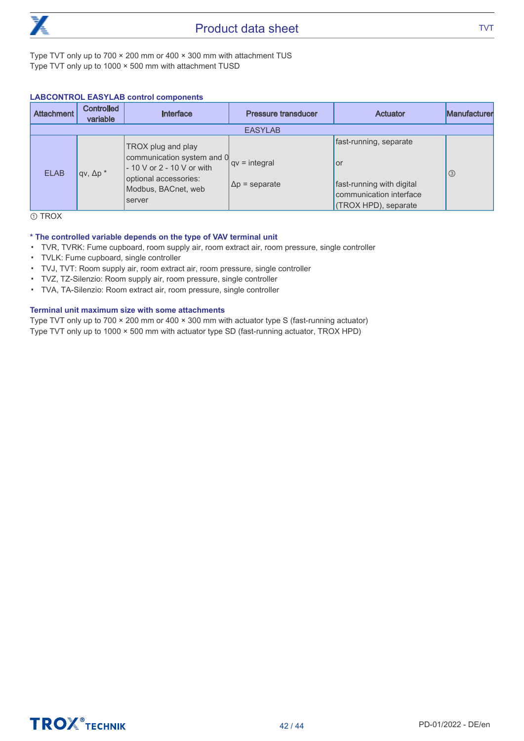

Type TVT only up to 700 × 200 mm or 400 × 300 mm with attachment TUS Type TVT only up to 1000 × 500 mm with attachment TUSD

#### **LABCONTROL EASYLAB control components**

|                | <b>Attachment</b> | <b>Controlled</b><br>variable | Interface                                                                                                                                | <b>Pressure transducer</b>               | Actuator                                                                                                     | Manufacturer |
|----------------|-------------------|-------------------------------|------------------------------------------------------------------------------------------------------------------------------------------|------------------------------------------|--------------------------------------------------------------------------------------------------------------|--------------|
| <b>EASYLAB</b> |                   |                               |                                                                                                                                          |                                          |                                                                                                              |              |
|                | <b>ELAB</b>       | $qv, \Delta p^*$              | TROX plug and play<br>communication system and 0<br>- 10 V or 2 - 10 V or with<br>optional accessories:<br>Modbus, BACnet, web<br>server | $qv = integral$<br>$\Delta p$ = separate | fast-running, separate<br>or<br>fast-running with digital<br>communication interface<br>(TROX HPD), separate | $\circ$      |

① TROX

#### \* The controlled variable depends on the type of VAV terminal unit

- TVR, TVRK: Fume cupboard, room supply air, room extract air, room pressure, single controller
- TVLK: Fume cupboard, single controller
- TVJ, TVT: Room supply air, room extract air, room pressure, single controller
- TVZ, TZ-Silenzio: Room supply air, room pressure, single controller
- TVA, TA-Silenzio: Room extract air, room pressure, single controller

#### Terminal unit maximum size with some attachments

Type TVT only up to 700 × 200 mm or 400 × 300 mm with actuator type S (fast-running actuator) Type TVT only up to 1000 × 500 mm with actuator type SD (fast-running actuator, TROX HPD)

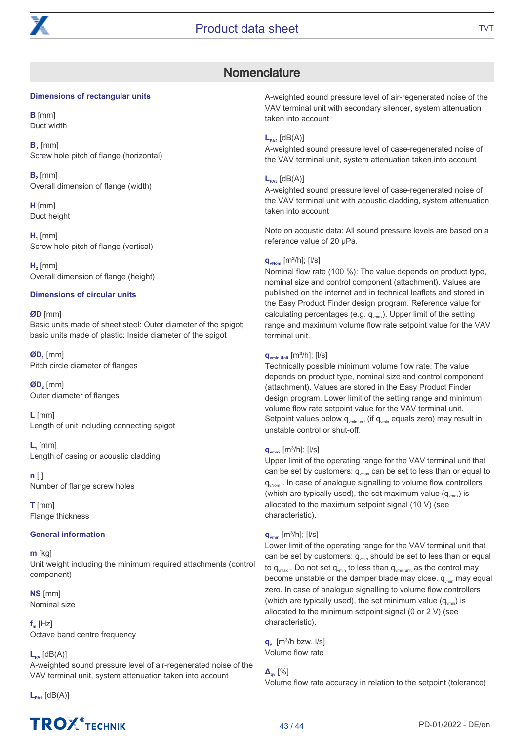

### **Nomenclature**

#### Dimensions of rectangular units

B [mm] Duct width

 $B$ , [mm] Screw hole pitch of flange (horizontal)

 $B<sub>2</sub>$  [mm] Overall dimension of flange (width)

H [mm] Duct height

 $H_1$  [mm] Screw hole pitch of flange (vertical)

 $H<sub>2</sub>$  [mm] Overall dimension of flange (height)

#### Dimensions of circular units

#### ØD [mm] Basic units made of sheet steel: Outer diameter of the spigot; basic units made of plastic: Inside diameter of the spigot

 $ØD<sub>1</sub>$  [mm] Pitch circle diameter of flanges

 $ØD$ <sub>2</sub> [mm] Outer diameter of flanges

L [mm] Length of unit including connecting spigot

 $L<sub>i</sub>$  [mm] Length of casing or acoustic cladding

 $n \lceil \rceil$ Number of flange screw holes

T [mm] Flange thickness

#### General information

m [kg] Unit weight including the minimum required attachments (control component)

NS [mm] Nominal size

 $f_m$  [Hz] Octave band centre frequency

#### $L_{\text{pa}}$  [dB(A)]

A-weighted sound pressure level of air-regenerated noise of the VAV terminal unit, system attenuation taken into account

 $L_{PA1}$  [dB(A)]

# **TROX**<sup>®</sup>TECHNIK

A-weighted sound pressure level of air-regenerated noise of the VAV terminal unit with secondary silencer, system attenuation taken into account

#### $L_{PA2}$  [dB(A)]

A-weighted sound pressure level of case-regenerated noise of the VAV terminal unit, system attenuation taken into account

#### $L_{PAB}$  [dB(A)]

A-weighted sound pressure level of case-regenerated noise of the VAV terminal unit with acoustic cladding, system attenuation taken into account

Note on acoustic data: All sound pressure levels are based on a reference value of 20 μPa.

#### $q_{vNorm}$  [m<sup>3</sup>/h]; [l/s]

Nominal flow rate (100 %): The value depends on product type, nominal size and control component (attachment). Values are published on the internet and in technical leaflets and stored in the Easy Product Finder design program. Reference value for calculating percentages (e.g.  $q_{vmax}$ ). Upper limit of the setting range and maximum volume flow rate setpoint value for the VAV terminal unit.

#### $q_{\text{vmin Unit}}$  [m<sup>3</sup>/h]; [l/s]

Technically possible minimum volume flow rate: The value depends on product type, nominal size and control component (attachment). Values are stored in the Easy Product Finder design program. Lower limit of the setting range and minimum volume flow rate setpoint value for the VAV terminal unit. Setpoint values below  $q_{\text{win unit}}$  (if  $q_{\text{win}}$  equals zero) may result in unstable control or shut-off.

#### $q_{\text{vmax}}$  [m<sup>3</sup>/h]; [l/s]

Upper limit of the operating range for the VAV terminal unit that can be set by customers:  $q_{max}$  can be set to less than or equal to q<sub>wNom</sub>. In case of analogue signalling to volume flow controllers (which are typically used), the set maximum value  $(q_{max})$  is allocated to the maximum setpoint signal (10 V) (see characteristic).

#### $q_{\text{vmin}}$  [m<sup>3</sup>/h]; [l/s]

Lower limit of the operating range for the VAV terminal unit that can be set by customers:  $q_{\text{win}}$  should be set to less than or equal to  $q_{vmax}$ . Do not set  $q_{vmin}$  to less than  $q_{vmin}$  as the control may become unstable or the damper blade may close. q<sub>vmin</sub> may equal zero. In case of analogue signalling to volume flow controllers (which are typically used), the set minimum value  $(q_{\text{win}})$  is allocated to the minimum setpoint signal (0 or 2 V) (see characteristic).

 $a_{\nu}$  [m<sup>3</sup>/h bzw.  $\sqrt{s}$ ] Volume flow rate

**Δ**<sub>qv</sub> [%]

Volume flow rate accuracy in relation to the setpoint (tolerance)